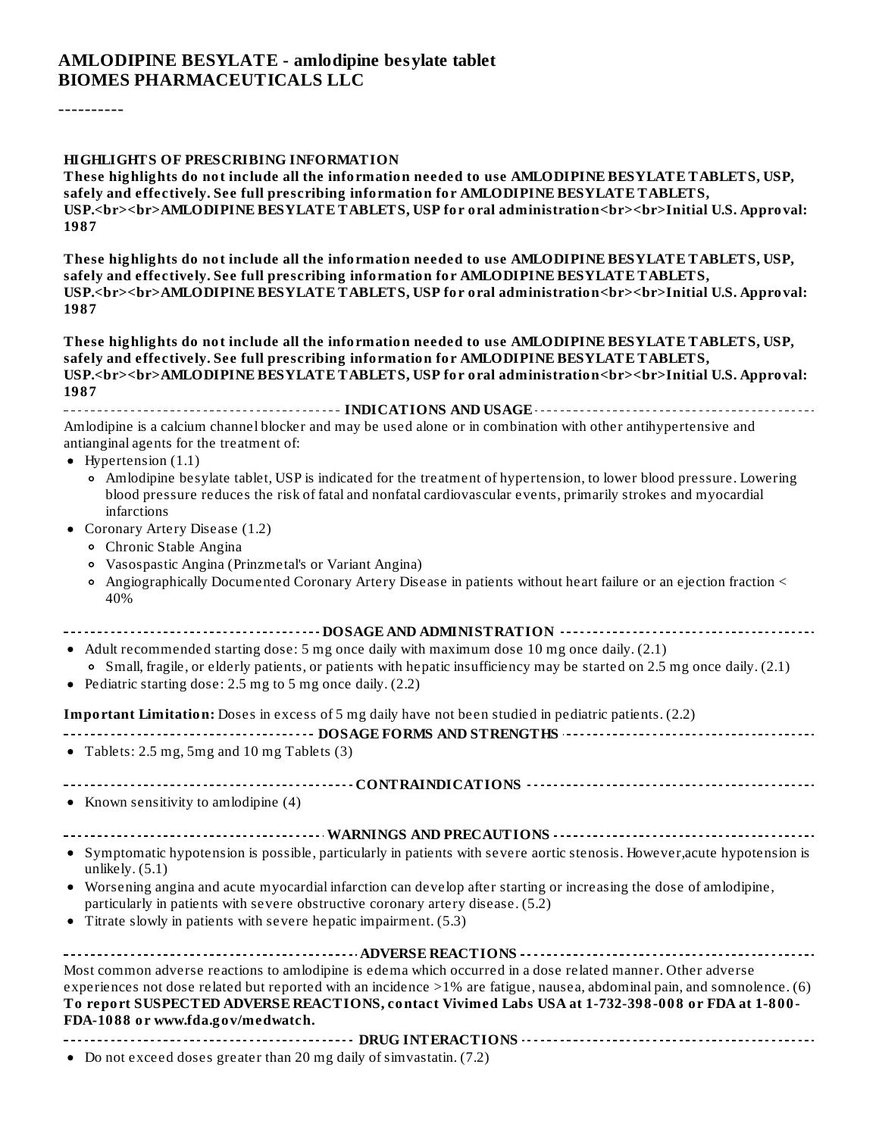#### **AMLODIPINE BESYLATE - amlodipine besylate tablet BIOMES PHARMACEUTICALS LLC**

----------

#### **HIGHLIGHTS OF PRESCRIBING INFORMATION**

**These highlights do not include all the information needed to use AMLODIPINE BESYLATE TABLETS, USP, safely and effectively. See full prescribing information for AMLODIPINE BESYLATE TABLETS, USP.<br><br>AMLODIPINE BESYLATE TABLETS, USP for oral administration<br><br>Initial U.S. Approval: 1987**

**These highlights do not include all the information needed to use AMLODIPINE BESYLATE TABLETS, USP, safely and effectively. See full prescribing information for AMLODIPINE BESYLATE TABLETS, USP.<br><br>AMLODIPINE BESYLATE TABLETS, USP for oral administration<br><br>Initial U.S. Approval: 1987**

**These highlights do not include all the information needed to use AMLODIPINE BESYLATE TABLETS, USP, safely and effectively. See full prescribing information for AMLODIPINE BESYLATE TABLETS, USP.<br><br>AMLODIPINE BESYLATE TABLETS, USP for oral administration<br><br>Initial U.S. Approval: 1987**

**INDICATIONS AND USAGE** Amlodipine is a calcium channel blocker and may be used alone or in combination with other antihypertensive and antianginal agents for the treatment of:

- $\bullet$  Hypertension (1.1)
	- Amlodipine besylate tablet, USP is indicated for the treatment of hypertension, to lower blood pressure. Lowering blood pressure reduces the risk of fatal and nonfatal cardiovascular events, primarily strokes and myocardial infarctions
- Coronary Artery Disease (1.2)
	- Chronic Stable Angina
	- Vasospastic Angina (Prinzmetal's or Variant Angina)
	- Angiographically Documented Coronary Artery Disease in patients without heart failure or an ejection fraction < 40%
- **DOSAGE AND ADMINISTRATION**
	- Adult recommended starting dose: 5 mg once daily with maximum dose 10 mg once daily. (2.1)
	- $\circ$  Small, fragile, or elderly patients, or patients with hepatic insufficiency may be started on 2.5 mg once daily. (2.1)
- Pediatric starting dose: 2.5 mg to 5 mg once daily. (2.2)

**Important Limitation:** Doses in excess of 5 mg daily have not been studied in pediatric patients. (2.2)

| • Tablets: 2.5 mg, 5mg and 10 mg Tablets (3) |  |  |  |  |
|----------------------------------------------|--|--|--|--|

- **CONTRAINDICATIONS**
- Known sensitivity to amlodipine (4)
- **WARNINGS AND PRECAUTIONS**
- Symptomatic hypotension is possible, particularly in patients with severe aortic stenosis. However,acute hypotension is unlikely. (5.1)
- Worsening angina and acute myocardial infarction can develop after starting or increasing the dose of amlodipine, particularly in patients with severe obstructive coronary artery disease. (5.2)
- Titrate slowly in patients with severe hepatic impairment. (5.3)

| Most common adverse reactions to amlodipine is edema which occurred in a dose related manner. Other adverse              |
|--------------------------------------------------------------------------------------------------------------------------|
| experiences not dose related but reported with an incidence >1% are fatigue, nausea, abdominal pain, and somnolence. (6) |
| -To report SUSPECTED ADVERSE REACTIONS, contact Vivimed Labs USA at 1-732-398-008 or FDA at 1-800                        |
| FDA-1088 or www.fda.gov/medwatch.                                                                                        |

- **DRUG INTERACTIONS CONSERVATIONS CONSERVATIONS CONSERVATIONS CONSERVATIONS**
- Do not exceed doses greater than 20 mg daily of simvastatin. (7.2)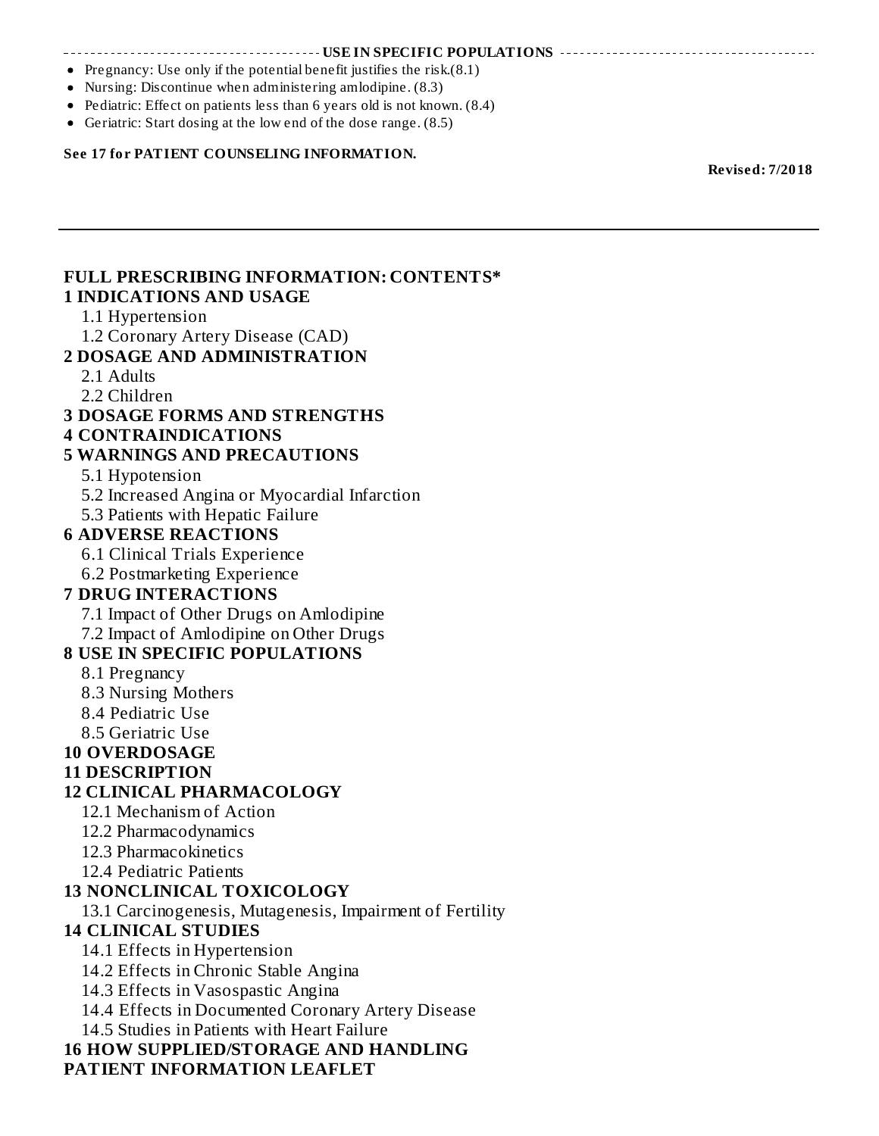#### **USE IN SPECIFIC POPULATIONS**

- Pregnancy: Use only if the potential benefit justifies the risk. $(8.1)$
- Nursing: Discontinue when administering amlodipine. (8.3)
- Pediatric: Effect on patients less than 6 years old is not known. (8.4)
- Geriatric: Start dosing at the low end of the dose range. (8.5)

#### **See 17 for PATIENT COUNSELING INFORMATION.**

**Revised: 7/2018**

#### **FULL PRESCRIBING INFORMATION: CONTENTS\* 1 INDICATIONS AND USAGE**

#### 1.1 Hypertension

1.2 Coronary Artery Disease (CAD)

#### **2 DOSAGE AND ADMINISTRATION**

2.1 Adults

2.2 Children

#### **3 DOSAGE FORMS AND STRENGTHS**

#### **4 CONTRAINDICATIONS**

#### **5 WARNINGS AND PRECAUTIONS**

5.1 Hypotension

5.2 Increased Angina or Myocardial Infarction

5.3 Patients with Hepatic Failure

#### **6 ADVERSE REACTIONS**

6.1 Clinical Trials Experience

6.2 Postmarketing Experience

#### **7 DRUG INTERACTIONS**

7.1 Impact of Other Drugs on Amlodipine 7.2 Impact of Amlodipine on Other Drugs

#### **8 USE IN SPECIFIC POPULATIONS**

8.1 Pregnancy

8.3 Nursing Mothers

8.4 Pediatric Use

8.5 Geriatric Use

#### **10 OVERDOSAGE**

#### **11 DESCRIPTION**

#### **12 CLINICAL PHARMACOLOGY**

12.1 Mechanism of Action

- 12.2 Pharmacodynamics
- 12.3 Pharmacokinetics
- 12.4 Pediatric Patients

#### **13 NONCLINICAL TOXICOLOGY**

13.1 Carcinogenesis, Mutagenesis, Impairment of Fertility

#### **14 CLINICAL STUDIES**

- 14.1 Effects in Hypertension
- 14.2 Effects in Chronic Stable Angina
- 14.3 Effects in Vasospastic Angina

14.4 Effects in Documented Coronary Artery Disease

14.5 Studies in Patients with Heart Failure

#### **16 HOW SUPPLIED/STORAGE AND HANDLING**

**PATIENT INFORMATION LEAFLET**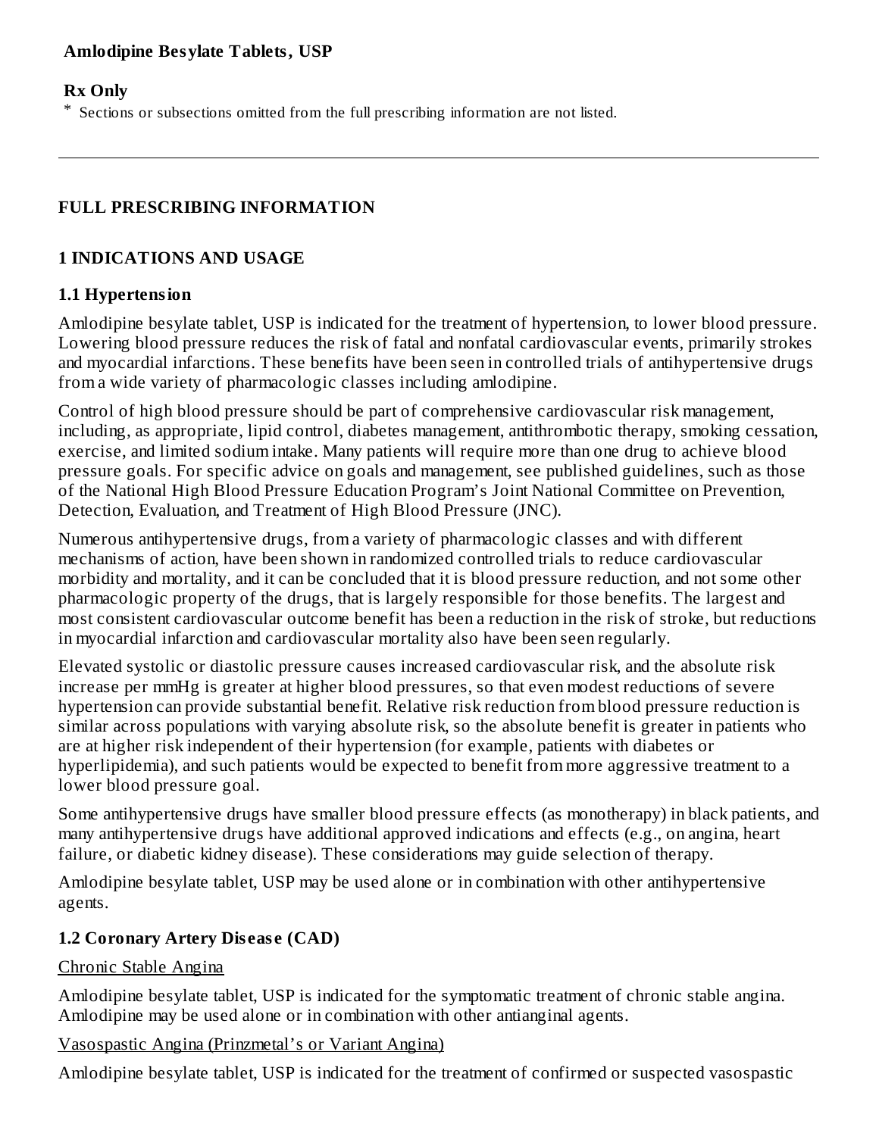### **Rx Only**

\* Sections or subsections omitted from the full prescribing information are not listed.

### **FULL PRESCRIBING INFORMATION**

### **1 INDICATIONS AND USAGE**

### **1.1 Hypertension**

Amlodipine besylate tablet, USP is indicated for the treatment of hypertension, to lower blood pressure. Lowering blood pressure reduces the risk of fatal and nonfatal cardiovascular events, primarily strokes and myocardial infarctions. These benefits have been seen in controlled trials of antihypertensive drugs from a wide variety of pharmacologic classes including amlodipine.

Control of high blood pressure should be part of comprehensive cardiovascular risk management, including, as appropriate, lipid control, diabetes management, antithrombotic therapy, smoking cessation, exercise, and limited sodium intake. Many patients will require more than one drug to achieve blood pressure goals. For specific advice on goals and management, see published guidelines, such as those of the National High Blood Pressure Education Program's Joint National Committee on Prevention, Detection, Evaluation, and Treatment of High Blood Pressure (JNC).

Numerous antihypertensive drugs, from a variety of pharmacologic classes and with different mechanisms of action, have been shown in randomized controlled trials to reduce cardiovascular morbidity and mortality, and it can be concluded that it is blood pressure reduction, and not some other pharmacologic property of the drugs, that is largely responsible for those benefits. The largest and most consistent cardiovascular outcome benefit has been a reduction in the risk of stroke, but reductions in myocardial infarction and cardiovascular mortality also have been seen regularly.

Elevated systolic or diastolic pressure causes increased cardiovascular risk, and the absolute risk increase per mmHg is greater at higher blood pressures, so that even modest reductions of severe hypertension can provide substantial benefit. Relative risk reduction from blood pressure reduction is similar across populations with varying absolute risk, so the absolute benefit is greater in patients who are at higher risk independent of their hypertension (for example, patients with diabetes or hyperlipidemia), and such patients would be expected to benefit from more aggressive treatment to a lower blood pressure goal.

Some antihypertensive drugs have smaller blood pressure effects (as monotherapy) in black patients, and many antihypertensive drugs have additional approved indications and effects (e.g., on angina, heart failure, or diabetic kidney disease). These considerations may guide selection of therapy.

Amlodipine besylate tablet, USP may be used alone or in combination with other antihypertensive agents.

# **1.2 Coronary Artery Dis eas e (CAD)**

### Chronic Stable Angina

Amlodipine besylate tablet, USP is indicated for the symptomatic treatment of chronic stable angina. Amlodipine may be used alone or in combination with other antianginal agents.

### Vasospastic Angina (Prinzmetal's or Variant Angina)

Amlodipine besylate tablet, USP is indicated for the treatment of confirmed or suspected vasospastic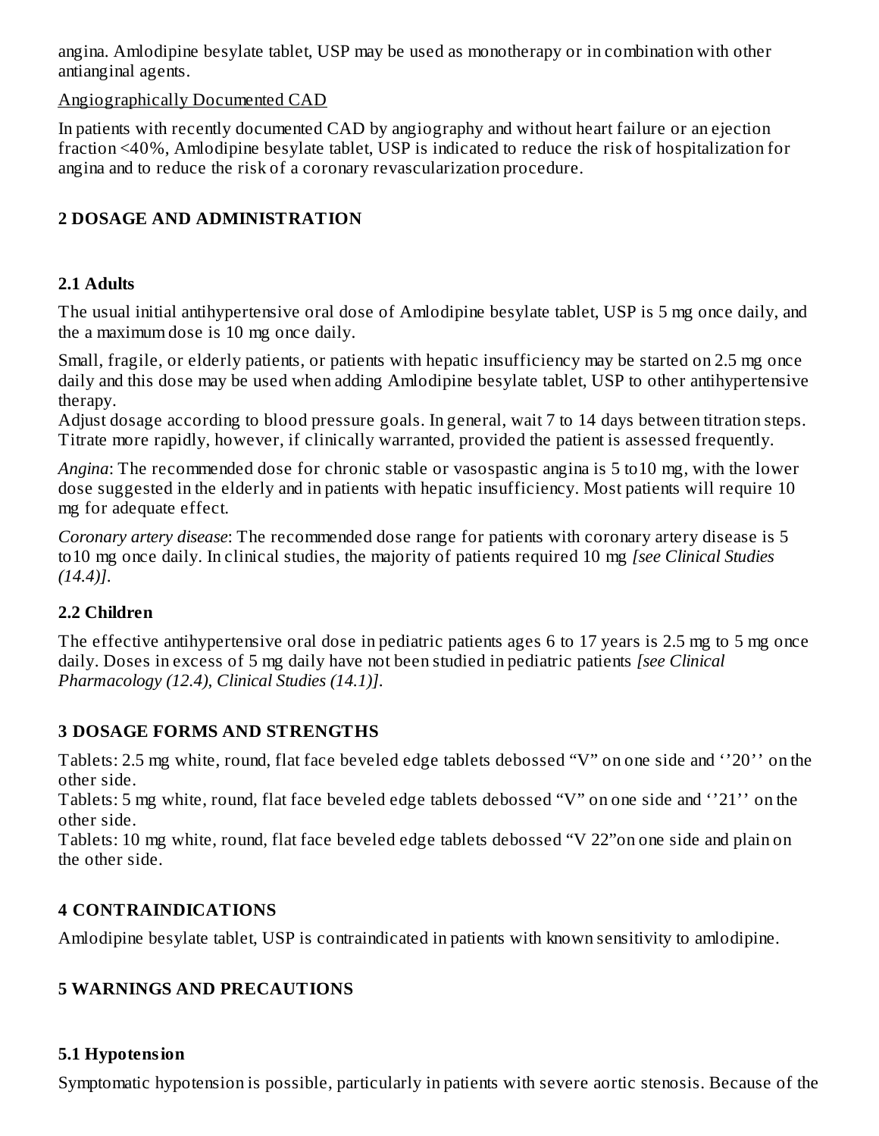angina. Amlodipine besylate tablet, USP may be used as monotherapy or in combination with other antianginal agents.

#### Angiographically Documented CAD

In patients with recently documented CAD by angiography and without heart failure or an ejection fraction <40%, Amlodipine besylate tablet, USP is indicated to reduce the risk of hospitalization for angina and to reduce the risk of a coronary revascularization procedure.

# **2 DOSAGE AND ADMINISTRATION**

# **2.1 Adults**

The usual initial antihypertensive oral dose of Amlodipine besylate tablet, USP is 5 mg once daily, and the a maximum dose is 10 mg once daily.

Small, fragile, or elderly patients, or patients with hepatic insufficiency may be started on 2.5 mg once daily and this dose may be used when adding Amlodipine besylate tablet, USP to other antihypertensive therapy.

Adjust dosage according to blood pressure goals. In general, wait 7 to 14 days between titration steps. Titrate more rapidly, however, if clinically warranted, provided the patient is assessed frequently.

*Angina*: The recommended dose for chronic stable or vasospastic angina is 5 to10 mg, with the lower dose suggested in the elderly and in patients with hepatic insufficiency. Most patients will require 10 mg for adequate effect.

*Coronary artery disease*: The recommended dose range for patients with coronary artery disease is 5 to10 mg once daily. In clinical studies, the majority of patients required 10 mg *[see Clinical Studies (14.4)]*.

# **2.2 Children**

The effective antihypertensive oral dose in pediatric patients ages 6 to 17 years is 2.5 mg to 5 mg once daily. Doses in excess of 5 mg daily have not been studied in pediatric patients *[see Clinical Pharmacology (12.4), Clinical Studies (14.1)]*.

# **3 DOSAGE FORMS AND STRENGTHS**

Tablets: 2.5 mg white, round, flat face beveled edge tablets debossed "V" on one side and ''20'' on the other side.

Tablets: 5 mg white, round, flat face beveled edge tablets debossed "V" on one side and ''21'' on the other side.

Tablets: 10 mg white, round, flat face beveled edge tablets debossed "V 22"on one side and plain on the other side.

# **4 CONTRAINDICATIONS**

Amlodipine besylate tablet, USP is contraindicated in patients with known sensitivity to amlodipine.

# **5 WARNINGS AND PRECAUTIONS**

# **5.1 Hypotension**

Symptomatic hypotension is possible, particularly in patients with severe aortic stenosis. Because of the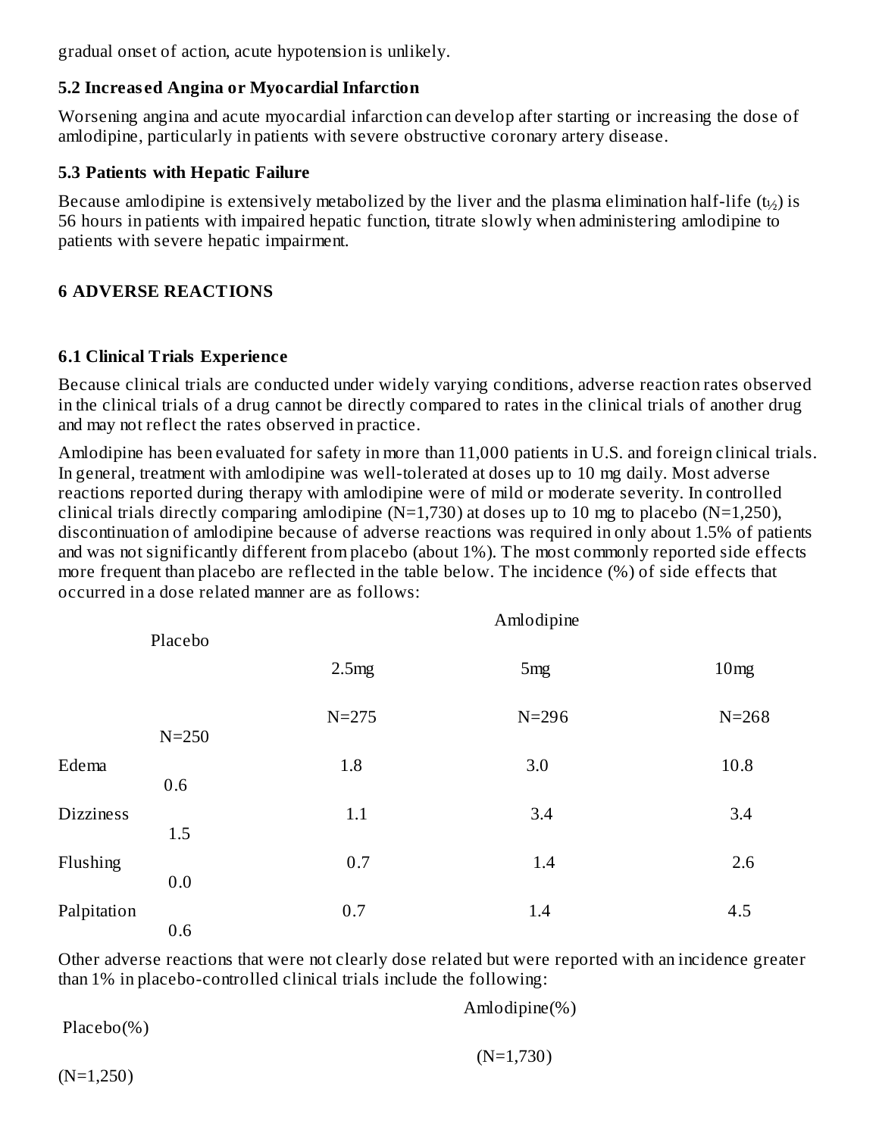gradual onset of action, acute hypotension is unlikely.

### **5.2 Increas ed Angina or Myocardial Infarction**

Worsening angina and acute myocardial infarction can develop after starting or increasing the dose of amlodipine, particularly in patients with severe obstructive coronary artery disease.

### **5.3 Patients with Hepatic Failure**

Because amlodipine is extensively metabolized by the liver and the plasma elimination half-life (t $_{\rm V2}$ ) is 56 hours in patients with impaired hepatic function, titrate slowly when administering amlodipine to patients with severe hepatic impairment.

### **6 ADVERSE REACTIONS**

### **6.1 Clinical Trials Experience**

Because clinical trials are conducted under widely varying conditions, adverse reaction rates observed in the clinical trials of a drug cannot be directly compared to rates in the clinical trials of another drug and may not reflect the rates observed in practice.

Amlodipine has been evaluated for safety in more than 11,000 patients in U.S. and foreign clinical trials. In general, treatment with amlodipine was well-tolerated at doses up to 10 mg daily. Most adverse reactions reported during therapy with amlodipine were of mild or moderate severity. In controlled clinical trials directly comparing amlodipine ( $N=1,730$ ) at doses up to 10 mg to placebo ( $N=1,250$ ), discontinuation of amlodipine because of adverse reactions was required in only about 1.5% of patients and was not significantly different from placebo (about 1%). The most commonly reported side effects more frequent than placebo are reflected in the table below. The incidence (%) of side effects that occurred in a dose related manner are as follows:

| Placebo                 |           | Amlodipine      |                  |  |
|-------------------------|-----------|-----------------|------------------|--|
|                         | 2.5mg     | 5 <sub>mg</sub> | 10 <sub>mg</sub> |  |
| $N=250$                 | $N = 275$ | $N = 296$       | $N = 268$        |  |
| Edema<br>0.6            | 1.8       | 3.0             | 10.8             |  |
| <b>Dizziness</b><br>1.5 | 1.1       | 3.4             | 3.4              |  |
| Flushing<br>$0.0\,$     | 0.7       | 1.4             | 2.6              |  |
| Palpitation<br>0.6      | 0.7       | 1.4             | 4.5              |  |

Other adverse reactions that were not clearly dose related but were reported with an incidence greater than 1% in placebo-controlled clinical trials include the following:

|                | Amlodipine $(\%)$ |
|----------------|-------------------|
| Placebo $(\%)$ |                   |
|                | $(N=1,730)$       |
| $(N=1,250)$    |                   |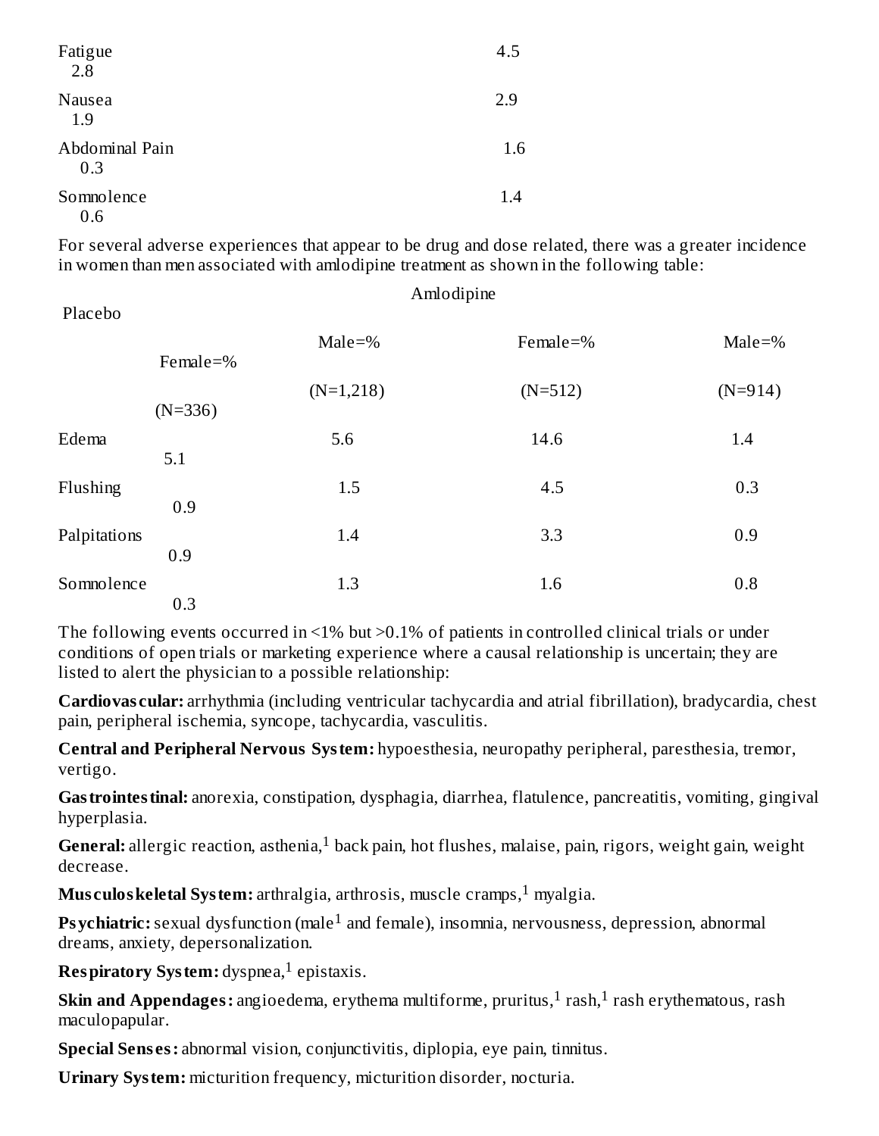| Fatigue<br>2.8        | 4.5 |
|-----------------------|-----|
| Nausea<br>1.9         | 2.9 |
| Abdominal Pain<br>0.3 | 1.6 |
| Somnolence<br>0.6     | 1.4 |

For several adverse experiences that appear to be drug and dose related, there was a greater incidence in women than men associated with amlodipine treatment as shown in the following table:

Amlodipine

| Placebo      |           |             | л.          |           |
|--------------|-----------|-------------|-------------|-----------|
|              | Female=%  | $Male = %$  | Female= $%$ | Male= $%$ |
|              | $(N=336)$ | $(N=1,218)$ | $(N=512)$   | $(N=914)$ |
| Edema        | 5.1       | 5.6         | 14.6        | 1.4       |
| Flushing     | 0.9       | 1.5         | 4.5         | 0.3       |
| Palpitations | 0.9       | 1.4         | 3.3         | 0.9       |
| Somnolence   | 0.3       | 1.3         | 1.6         | 0.8       |

The following events occurred in <1% but >0.1% of patients in controlled clinical trials or under conditions of open trials or marketing experience where a causal relationship is uncertain; they are listed to alert the physician to a possible relationship:

**Cardiovas cular:** arrhythmia (including ventricular tachycardia and atrial fibrillation), bradycardia, chest pain, peripheral ischemia, syncope, tachycardia, vasculitis.

**Central and Peripheral Nervous System:** hypoesthesia, neuropathy peripheral, paresthesia, tremor, vertigo.

Gastrointestinal: anorexia, constipation, dysphagia, diarrhea, flatulence, pancreatitis, vomiting, gingival hyperplasia.

General: allergic reaction, asthenia, <sup>1</sup> back pain, hot flushes, malaise, pain, rigors, weight gain, weight decrease.

**Mus culos keletal System:** arthralgia, arthrosis, muscle cramps,<sup>1</sup> myalgia.

 ${\bf P}$ s ${\bf y}$ c**hiatric:** sexual dysfunction (male $^1$  and female), insomnia, nervousness, depression, abnormal dreams, anxiety, depersonalization.

**Respiratory System:** dyspnea,<sup>1</sup> epistaxis.

 ${\bf Skin}$  and  ${\bf Appendix:}$  angioedema, erythema multiforme, pruritus, $^1$  rash, $^1$  rash erythematous, rash maculopapular.

**Special Sens es:** abnormal vision, conjunctivitis, diplopia, eye pain, tinnitus.

**Urinary System:** micturition frequency, micturition disorder, nocturia.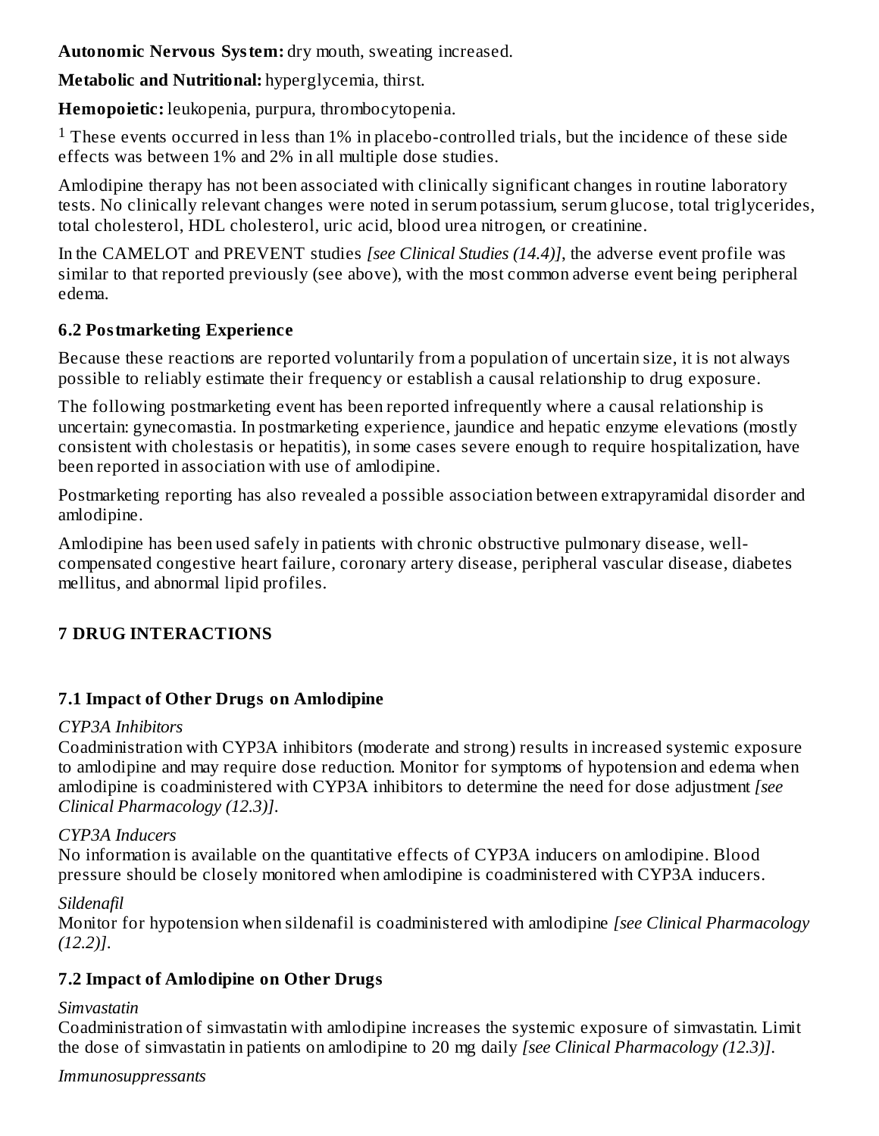**Autonomic Nervous System:** dry mouth, sweating increased.

**Metabolic and Nutritional:** hyperglycemia, thirst.

**Hemopoietic:** leukopenia, purpura, thrombocytopenia.

 $1$  These events occurred in less than  $1\%$  in placebo-controlled trials, but the incidence of these side effects was between 1% and 2% in all multiple dose studies.

Amlodipine therapy has not been associated with clinically significant changes in routine laboratory tests. No clinically relevant changes were noted in serum potassium, serum glucose, total triglycerides, total cholesterol, HDL cholesterol, uric acid, blood urea nitrogen, or creatinine.

In the CAMELOT and PREVENT studies *[see Clinical Studies (14.4)]*, the adverse event profile was similar to that reported previously (see above), with the most common adverse event being peripheral edema.

# **6.2 Postmarketing Experience**

Because these reactions are reported voluntarily from a population of uncertain size, it is not always possible to reliably estimate their frequency or establish a causal relationship to drug exposure.

The following postmarketing event has been reported infrequently where a causal relationship is uncertain: gynecomastia. In postmarketing experience, jaundice and hepatic enzyme elevations (mostly consistent with cholestasis or hepatitis), in some cases severe enough to require hospitalization, have been reported in association with use of amlodipine.

Postmarketing reporting has also revealed a possible association between extrapyramidal disorder and amlodipine.

Amlodipine has been used safely in patients with chronic obstructive pulmonary disease, wellcompensated congestive heart failure, coronary artery disease, peripheral vascular disease, diabetes mellitus, and abnormal lipid profiles.

# **7 DRUG INTERACTIONS**

# **7.1 Impact of Other Drugs on Amlodipine**

### *CYP3A Inhibitors*

Coadministration with CYP3A inhibitors (moderate and strong) results in increased systemic exposure to amlodipine and may require dose reduction. Monitor for symptoms of hypotension and edema when amlodipine is coadministered with CYP3A inhibitors to determine the need for dose adjustment *[see Clinical Pharmacology (12.3)]*.

### *CYP3A Inducers*

No information is available on the quantitative effects of CYP3A inducers on amlodipine. Blood pressure should be closely monitored when amlodipine is coadministered with CYP3A inducers.

### *Sildenafil*

Monitor for hypotension when sildenafil is coadministered with amlodipine *[see Clinical Pharmacology (12.2)]*.

# **7.2 Impact of Amlodipine on Other Drugs**

### *Simvastatin*

Coadministration of simvastatin with amlodipine increases the systemic exposure of simvastatin. Limit the dose of simvastatin in patients on amlodipine to 20 mg daily *[see Clinical Pharmacology (12.3)]*.

#### *Immunosuppressants*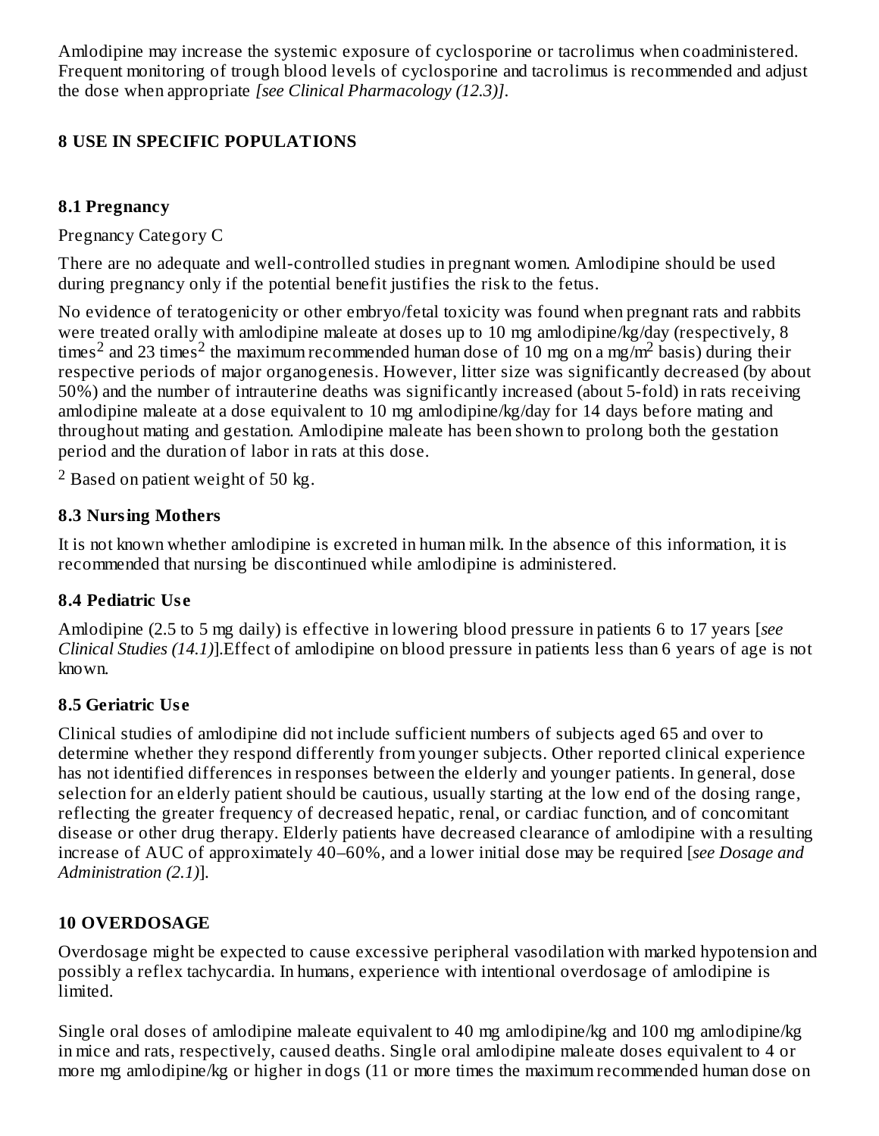Amlodipine may increase the systemic exposure of cyclosporine or tacrolimus when coadministered. Frequent monitoring of trough blood levels of cyclosporine and tacrolimus is recommended and adjust the dose when appropriate *[see Clinical Pharmacology (12.3)]*.

# **8 USE IN SPECIFIC POPULATIONS**

# **8.1 Pregnancy**

Pregnancy Category C

There are no adequate and well-controlled studies in pregnant women. Amlodipine should be used during pregnancy only if the potential benefit justifies the risk to the fetus.

No evidence of teratogenicity or other embryo/fetal toxicity was found when pregnant rats and rabbits were treated orally with amlodipine maleate at doses up to 10 mg amlodipine/kg/day (respectively, 8 times<sup>2</sup> and 23 times<sup>2</sup> the maximum recommended human dose of 10 mg on a mg/m<sup>2</sup> basis) during their respective periods of major organogenesis. However, litter size was significantly decreased (by about 50%) and the number of intrauterine deaths was significantly increased (about 5-fold) in rats receiving amlodipine maleate at a dose equivalent to 10 mg amlodipine/kg/day for 14 days before mating and throughout mating and gestation. Amlodipine maleate has been shown to prolong both the gestation period and the duration of labor in rats at this dose.

 $2$  Based on patient weight of 50 kg.

# **8.3 Nursing Mothers**

It is not known whether amlodipine is excreted in human milk. In the absence of this information, it is recommended that nursing be discontinued while amlodipine is administered.

# **8.4 Pediatric Us e**

Amlodipine (2.5 to 5 mg daily) is effective in lowering blood pressure in patients 6 to 17 years [*see Clinical Studies (14.1)*].Effect of amlodipine on blood pressure in patients less than 6 years of age is not known.

# **8.5 Geriatric Us e**

Clinical studies of amlodipine did not include sufficient numbers of subjects aged 65 and over to determine whether they respond differently from younger subjects. Other reported clinical experience has not identified differences in responses between the elderly and younger patients. In general, dose selection for an elderly patient should be cautious, usually starting at the low end of the dosing range, reflecting the greater frequency of decreased hepatic, renal, or cardiac function, and of concomitant disease or other drug therapy. Elderly patients have decreased clearance of amlodipine with a resulting increase of AUC of approximately 40–60%, and a lower initial dose may be required [*see Dosage and Administration (2.1)*].

# **10 OVERDOSAGE**

Overdosage might be expected to cause excessive peripheral vasodilation with marked hypotension and possibly a reflex tachycardia. In humans, experience with intentional overdosage of amlodipine is limited.

Single oral doses of amlodipine maleate equivalent to 40 mg amlodipine/kg and 100 mg amlodipine/kg in mice and rats, respectively, caused deaths. Single oral amlodipine maleate doses equivalent to 4 or more mg amlodipine/kg or higher in dogs (11 or more times the maximum recommended human dose on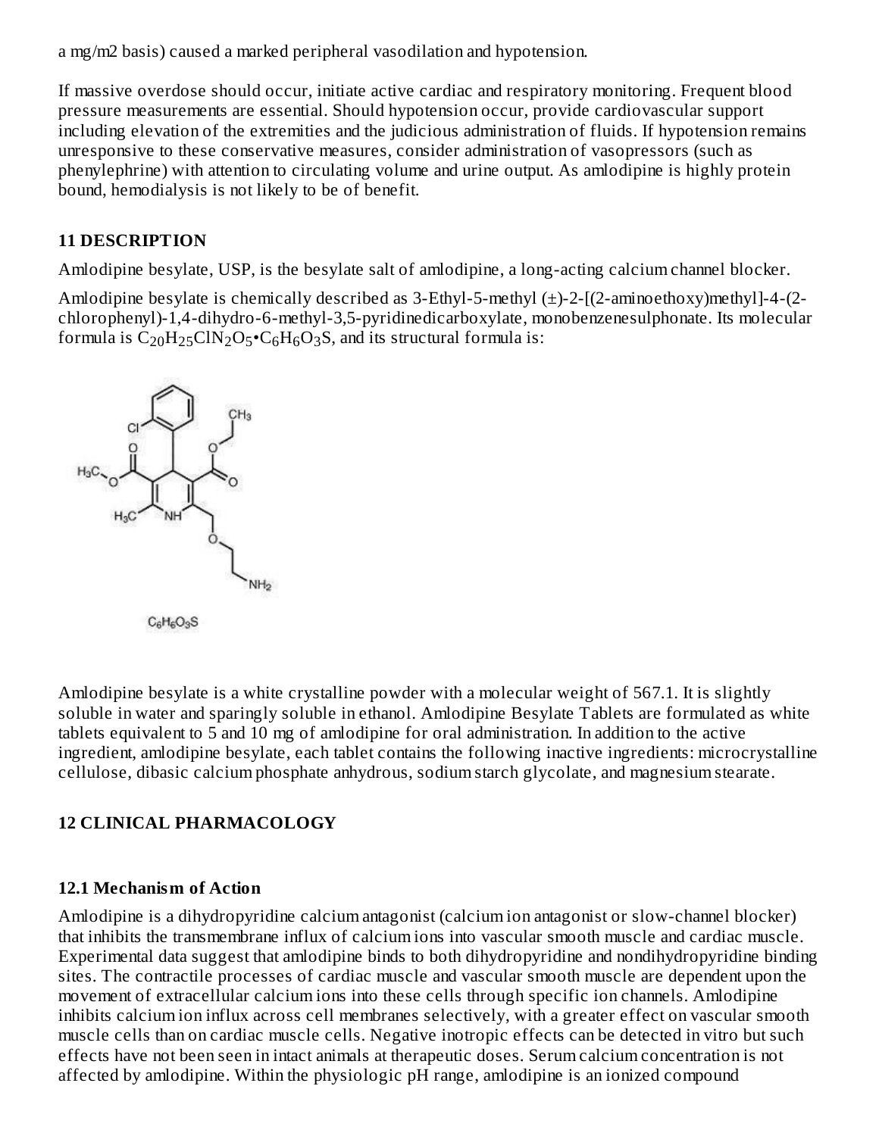a mg/m2 basis) caused a marked peripheral vasodilation and hypotension.

If massive overdose should occur, initiate active cardiac and respiratory monitoring. Frequent blood pressure measurements are essential. Should hypotension occur, provide cardiovascular support including elevation of the extremities and the judicious administration of fluids. If hypotension remains unresponsive to these conservative measures, consider administration of vasopressors (such as phenylephrine) with attention to circulating volume and urine output. As amlodipine is highly protein bound, hemodialysis is not likely to be of benefit.

# **11 DESCRIPTION**

Amlodipine besylate, USP, is the besylate salt of amlodipine, a long-acting calcium channel blocker.

Amlodipine besylate is chemically described as 3-Ethyl-5-methyl (±)-2-[(2-aminoethoxy)methyl]-4-(2 chlorophenyl)-1,4-dihydro-6-methyl-3,5-pyridinedicarboxylate, monobenzenesulphonate. Its molecular formula is  $C_{20}H_{25}CIN_2O_5\cdot C_6H_6O_3S$ , and its structural formula is:



Amlodipine besylate is a white crystalline powder with a molecular weight of 567.1. It is slightly soluble in water and sparingly soluble in ethanol. Amlodipine Besylate Tablets are formulated as white tablets equivalent to 5 and 10 mg of amlodipine for oral administration. In addition to the active ingredient, amlodipine besylate, each tablet contains the following inactive ingredients: microcrystalline cellulose, dibasic calcium phosphate anhydrous, sodium starch glycolate, and magnesium stearate.

### **12 CLINICAL PHARMACOLOGY**

### **12.1 Mechanism of Action**

Amlodipine is a dihydropyridine calcium antagonist (calcium ion antagonist or slow-channel blocker) that inhibits the transmembrane influx of calcium ions into vascular smooth muscle and cardiac muscle. Experimental data suggest that amlodipine binds to both dihydropyridine and nondihydropyridine binding sites. The contractile processes of cardiac muscle and vascular smooth muscle are dependent upon the movement of extracellular calcium ions into these cells through specific ion channels. Amlodipine inhibits calcium ion influx across cell membranes selectively, with a greater effect on vascular smooth muscle cells than on cardiac muscle cells. Negative inotropic effects can be detected in vitro but such effects have not been seen in intact animals at therapeutic doses. Serum calcium concentration is not affected by amlodipine. Within the physiologic pH range, amlodipine is an ionized compound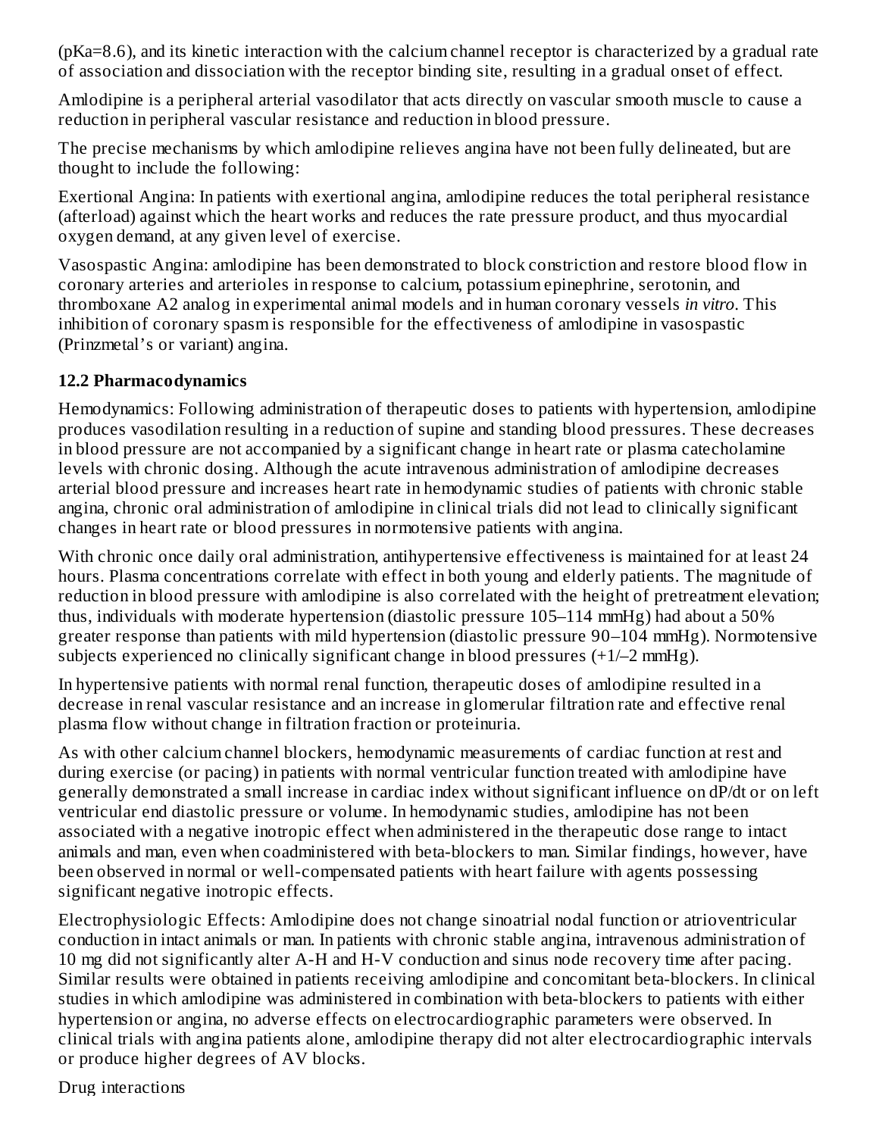(pKa=8.6), and its kinetic interaction with the calcium channel receptor is characterized by a gradual rate of association and dissociation with the receptor binding site, resulting in a gradual onset of effect.

Amlodipine is a peripheral arterial vasodilator that acts directly on vascular smooth muscle to cause a reduction in peripheral vascular resistance and reduction in blood pressure.

The precise mechanisms by which amlodipine relieves angina have not been fully delineated, but are thought to include the following:

Exertional Angina: In patients with exertional angina, amlodipine reduces the total peripheral resistance (afterload) against which the heart works and reduces the rate pressure product, and thus myocardial oxygen demand, at any given level of exercise.

Vasospastic Angina: amlodipine has been demonstrated to block constriction and restore blood flow in coronary arteries and arterioles in response to calcium, potassium epinephrine, serotonin, and thromboxane A2 analog in experimental animal models and in human coronary vessels *in vitro*. This inhibition of coronary spasm is responsible for the effectiveness of amlodipine in vasospastic (Prinzmetal's or variant) angina.

### **12.2 Pharmacodynamics**

Hemodynamics: Following administration of therapeutic doses to patients with hypertension, amlodipine produces vasodilation resulting in a reduction of supine and standing blood pressures. These decreases in blood pressure are not accompanied by a significant change in heart rate or plasma catecholamine levels with chronic dosing. Although the acute intravenous administration of amlodipine decreases arterial blood pressure and increases heart rate in hemodynamic studies of patients with chronic stable angina, chronic oral administration of amlodipine in clinical trials did not lead to clinically significant changes in heart rate or blood pressures in normotensive patients with angina.

With chronic once daily oral administration, antihypertensive effectiveness is maintained for at least 24 hours. Plasma concentrations correlate with effect in both young and elderly patients. The magnitude of reduction in blood pressure with amlodipine is also correlated with the height of pretreatment elevation; thus, individuals with moderate hypertension (diastolic pressure 105–114 mmHg) had about a 50% greater response than patients with mild hypertension (diastolic pressure 90–104 mmHg). Normotensive subjects experienced no clinically significant change in blood pressures (+1/–2 mmHg).

In hypertensive patients with normal renal function, therapeutic doses of amlodipine resulted in a decrease in renal vascular resistance and an increase in glomerular filtration rate and effective renal plasma flow without change in filtration fraction or proteinuria.

As with other calcium channel blockers, hemodynamic measurements of cardiac function at rest and during exercise (or pacing) in patients with normal ventricular function treated with amlodipine have generally demonstrated a small increase in cardiac index without significant influence on dP/dt or on left ventricular end diastolic pressure or volume. In hemodynamic studies, amlodipine has not been associated with a negative inotropic effect when administered in the therapeutic dose range to intact animals and man, even when coadministered with beta-blockers to man. Similar findings, however, have been observed in normal or well-compensated patients with heart failure with agents possessing significant negative inotropic effects.

Electrophysiologic Effects: Amlodipine does not change sinoatrial nodal function or atrioventricular conduction in intact animals or man. In patients with chronic stable angina, intravenous administration of 10 mg did not significantly alter A-H and H-V conduction and sinus node recovery time after pacing. Similar results were obtained in patients receiving amlodipine and concomitant beta-blockers. In clinical studies in which amlodipine was administered in combination with beta-blockers to patients with either hypertension or angina, no adverse effects on electrocardiographic parameters were observed. In clinical trials with angina patients alone, amlodipine therapy did not alter electrocardiographic intervals or produce higher degrees of AV blocks.

Drug interactions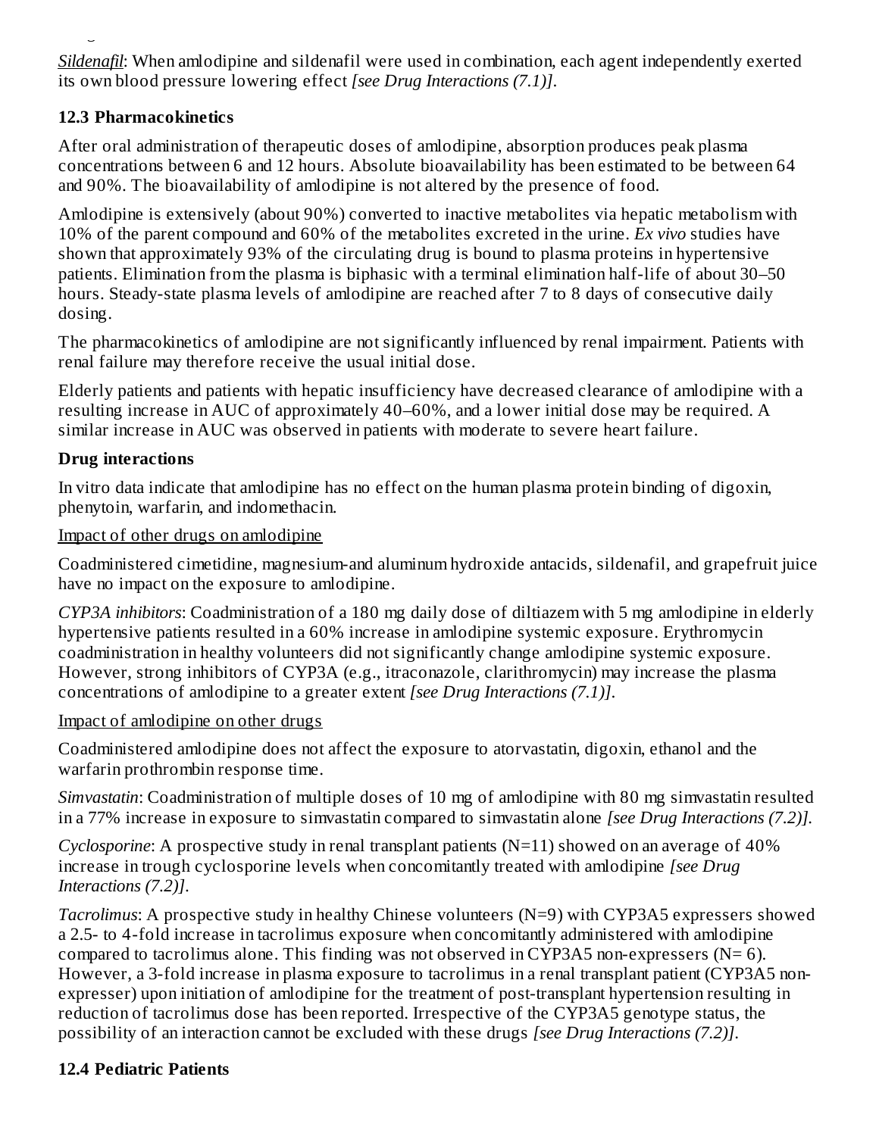*Sildenafil*: When amlodipine and sildenafil were used in combination, each agent independently exerted its own blood pressure lowering effect *[see Drug Interactions (7.1)]*.

### **12.3 Pharmacokinetics**

Drug interactions

After oral administration of therapeutic doses of amlodipine, absorption produces peak plasma concentrations between 6 and 12 hours. Absolute bioavailability has been estimated to be between 64 and 90%. The bioavailability of amlodipine is not altered by the presence of food.

Amlodipine is extensively (about 90%) converted to inactive metabolites via hepatic metabolism with 10% of the parent compound and 60% of the metabolites excreted in the urine. *Ex vivo* studies have shown that approximately 93% of the circulating drug is bound to plasma proteins in hypertensive patients. Elimination from the plasma is biphasic with a terminal elimination half-life of about 30–50 hours. Steady-state plasma levels of amlodipine are reached after 7 to 8 days of consecutive daily dosing.

The pharmacokinetics of amlodipine are not significantly influenced by renal impairment. Patients with renal failure may therefore receive the usual initial dose.

Elderly patients and patients with hepatic insufficiency have decreased clearance of amlodipine with a resulting increase in AUC of approximately 40–60%, and a lower initial dose may be required. A similar increase in AUC was observed in patients with moderate to severe heart failure.

### **Drug interactions**

In vitro data indicate that amlodipine has no effect on the human plasma protein binding of digoxin, phenytoin, warfarin, and indomethacin.

### Impact of other drugs on amlodipine

Coadministered cimetidine, magnesium-and aluminum hydroxide antacids, sildenafil, and grapefruit juice have no impact on the exposure to amlodipine.

*CYP3A inhibitors*: Coadministration of a 180 mg daily dose of diltiazem with 5 mg amlodipine in elderly hypertensive patients resulted in a 60% increase in amlodipine systemic exposure. Erythromycin coadministration in healthy volunteers did not significantly change amlodipine systemic exposure. However, strong inhibitors of CYP3A (e.g., itraconazole, clarithromycin) may increase the plasma concentrations of amlodipine to a greater extent *[see Drug Interactions (7.1)]*.

### Impact of amlodipine on other drugs

Coadministered amlodipine does not affect the exposure to atorvastatin, digoxin, ethanol and the warfarin prothrombin response time.

*Simvastatin*: Coadministration of multiple doses of 10 mg of amlodipine with 80 mg simvastatin resulted in a 77% increase in exposure to simvastatin compared to simvastatin alone *[see Drug Interactions (7.2)].*

*Cyclosporine*: A prospective study in renal transplant patients (N=11) showed on an average of 40% increase in trough cyclosporine levels when concomitantly treated with amlodipine *[see Drug Interactions (7.2)]*.

*Tacrolimus*: A prospective study in healthy Chinese volunteers (N=9) with CYP3A5 expressers showed a 2.5- to 4-fold increase in tacrolimus exposure when concomitantly administered with amlodipine compared to tacrolimus alone. This finding was not observed in CYP3A5 non-expressers ( $N= 6$ ). However, a 3-fold increase in plasma exposure to tacrolimus in a renal transplant patient (CYP3A5 nonexpresser) upon initiation of amlodipine for the treatment of post-transplant hypertension resulting in reduction of tacrolimus dose has been reported. Irrespective of the CYP3A5 genotype status, the possibility of an interaction cannot be excluded with these drugs *[see Drug Interactions (7.2)]*.

### **12.4 Pediatric Patients**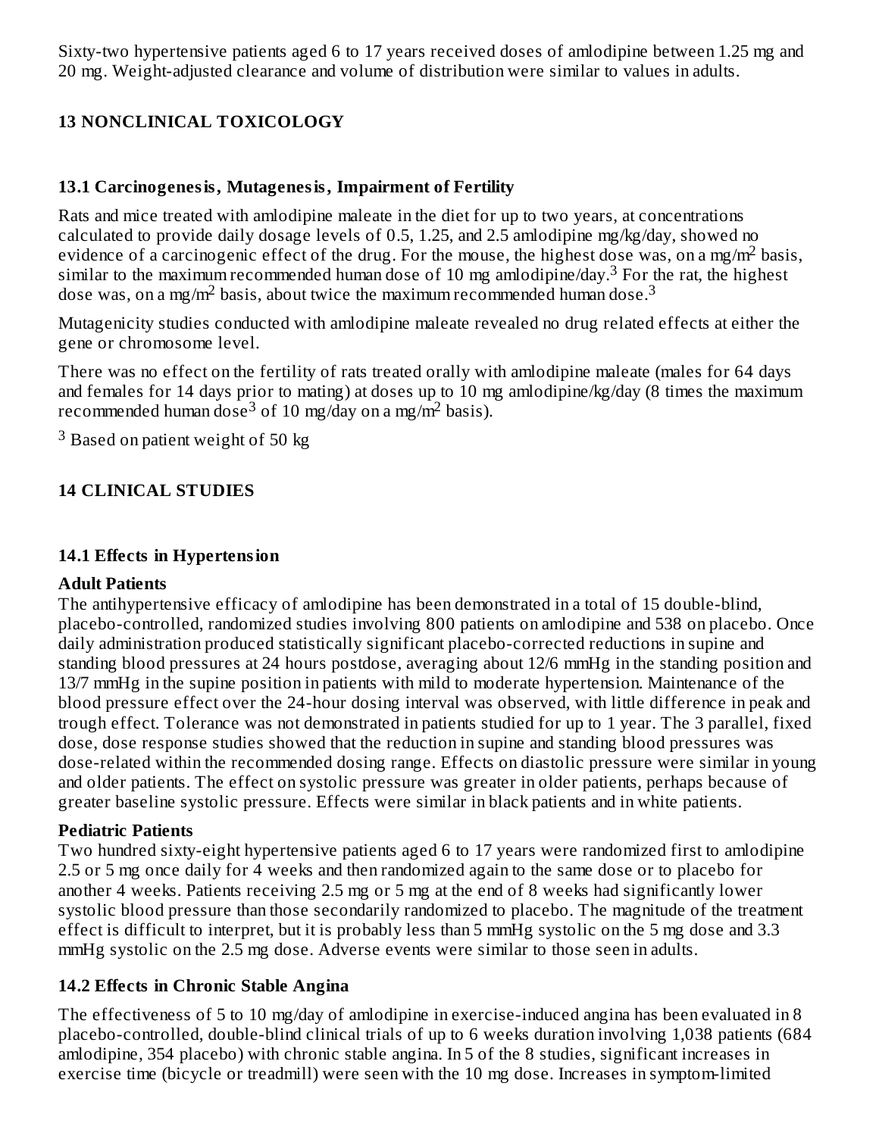Sixty-two hypertensive patients aged 6 to 17 years received doses of amlodipine between 1.25 mg and 20 mg. Weight-adjusted clearance and volume of distribution were similar to values in adults.

# **13 NONCLINICAL TOXICOLOGY**

### **13.1 Carcinogenesis, Mutagenesis, Impairment of Fertility**

Rats and mice treated with amlodipine maleate in the diet for up to two years, at concentrations calculated to provide daily dosage levels of 0.5, 1.25, and 2.5 amlodipine mg/kg/day, showed no evidence of a carcinogenic effect of the drug. For the mouse, the highest dose was, on a mg/m<sup>2</sup> basis, similar to the maximum recommended human dose of 10 mg amlodipine/day.<sup>3</sup> For the rat, the highest dose was, on a mg/m<sup>2</sup> basis, about twice the maximum recommended human dose.<sup>3</sup>

Mutagenicity studies conducted with amlodipine maleate revealed no drug related effects at either the gene or chromosome level.

There was no effect on the fertility of rats treated orally with amlodipine maleate (males for 64 days and females for 14 days prior to mating) at doses up to 10 mg amlodipine/kg/day (8 times the maximum recommended human dose<sup>3</sup> of 10 mg/day on a mg/m<sup>2</sup> basis).

 $^3$  Based on patient weight of 50 kg

### **14 CLINICAL STUDIES**

### **14.1 Effects in Hypertension**

#### **Adult Patients**

The antihypertensive efficacy of amlodipine has been demonstrated in a total of 15 double-blind, placebo-controlled, randomized studies involving 800 patients on amlodipine and 538 on placebo. Once daily administration produced statistically significant placebo-corrected reductions in supine and standing blood pressures at 24 hours postdose, averaging about 12/6 mmHg in the standing position and 13/7 mmHg in the supine position in patients with mild to moderate hypertension. Maintenance of the blood pressure effect over the 24-hour dosing interval was observed, with little difference in peak and trough effect. Tolerance was not demonstrated in patients studied for up to 1 year. The 3 parallel, fixed dose, dose response studies showed that the reduction in supine and standing blood pressures was dose-related within the recommended dosing range. Effects on diastolic pressure were similar in young and older patients. The effect on systolic pressure was greater in older patients, perhaps because of greater baseline systolic pressure. Effects were similar in black patients and in white patients.

### **Pediatric Patients**

Two hundred sixty-eight hypertensive patients aged 6 to 17 years were randomized first to amlodipine 2.5 or 5 mg once daily for 4 weeks and then randomized again to the same dose or to placebo for another 4 weeks. Patients receiving 2.5 mg or 5 mg at the end of 8 weeks had significantly lower systolic blood pressure than those secondarily randomized to placebo. The magnitude of the treatment effect is difficult to interpret, but it is probably less than 5 mmHg systolic on the 5 mg dose and 3.3 mmHg systolic on the 2.5 mg dose. Adverse events were similar to those seen in adults.

# **14.2 Effects in Chronic Stable Angina**

The effectiveness of 5 to 10 mg/day of amlodipine in exercise-induced angina has been evaluated in 8 placebo-controlled, double-blind clinical trials of up to 6 weeks duration involving 1,038 patients (684 amlodipine, 354 placebo) with chronic stable angina. In 5 of the 8 studies, significant increases in exercise time (bicycle or treadmill) were seen with the 10 mg dose. Increases in symptom-limited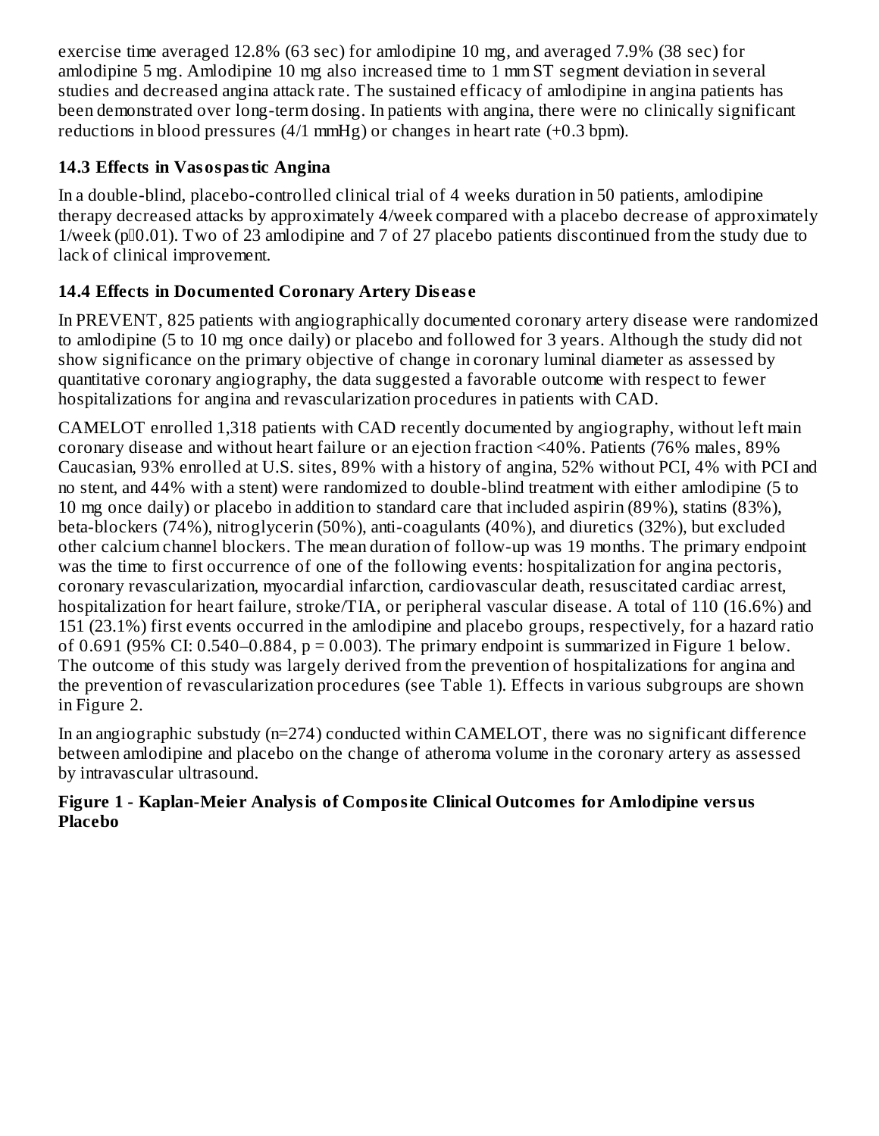exercise time averaged 12.8% (63 sec) for amlodipine 10 mg, and averaged 7.9% (38 sec) for amlodipine 5 mg. Amlodipine 10 mg also increased time to 1 mm ST segment deviation in several studies and decreased angina attack rate. The sustained efficacy of amlodipine in angina patients has been demonstrated over long-term dosing. In patients with angina, there were no clinically significant reductions in blood pressures (4/1 mmHg) or changes in heart rate (+0.3 bpm).

# **14.3 Effects in Vasospastic Angina**

In a double-blind, placebo-controlled clinical trial of 4 weeks duration in 50 patients, amlodipine therapy decreased attacks by approximately 4/week compared with a placebo decrease of approximately  $1$ /week (p $0.01$ ). Two of 23 amlodipine and 7 of 27 placebo patients discontinued from the study due to lack of clinical improvement.

# **14.4 Effects in Documented Coronary Artery Dis eas e**

In PREVENT, 825 patients with angiographically documented coronary artery disease were randomized to amlodipine (5 to 10 mg once daily) or placebo and followed for 3 years. Although the study did not show significance on the primary objective of change in coronary luminal diameter as assessed by quantitative coronary angiography, the data suggested a favorable outcome with respect to fewer hospitalizations for angina and revascularization procedures in patients with CAD.

CAMELOT enrolled 1,318 patients with CAD recently documented by angiography, without left main coronary disease and without heart failure or an ejection fraction <40%. Patients (76% males, 89% Caucasian, 93% enrolled at U.S. sites, 89% with a history of angina, 52% without PCI, 4% with PCI and no stent, and 44% with a stent) were randomized to double-blind treatment with either amlodipine (5 to 10 mg once daily) or placebo in addition to standard care that included aspirin (89%), statins (83%), beta-blockers (74%), nitroglycerin (50%), anti-coagulants (40%), and diuretics (32%), but excluded other calcium channel blockers. The mean duration of follow-up was 19 months. The primary endpoint was the time to first occurrence of one of the following events: hospitalization for angina pectoris, coronary revascularization, myocardial infarction, cardiovascular death, resuscitated cardiac arrest, hospitalization for heart failure, stroke/TIA, or peripheral vascular disease. A total of 110 (16.6%) and 151 (23.1%) first events occurred in the amlodipine and placebo groups, respectively, for a hazard ratio of 0.691 (95% CI: 0.540–0.884,  $p = 0.003$ ). The primary endpoint is summarized in Figure 1 below. The outcome of this study was largely derived from the prevention of hospitalizations for angina and the prevention of revascularization procedures (see Table 1). Effects in various subgroups are shown in Figure 2.

In an angiographic substudy (n=274) conducted within CAMELOT, there was no significant difference between amlodipine and placebo on the change of atheroma volume in the coronary artery as assessed by intravascular ultrasound.

#### **Figure 1 - Kaplan-Meier Analysis of Composite Clinical Outcomes for Amlodipine versus Placebo**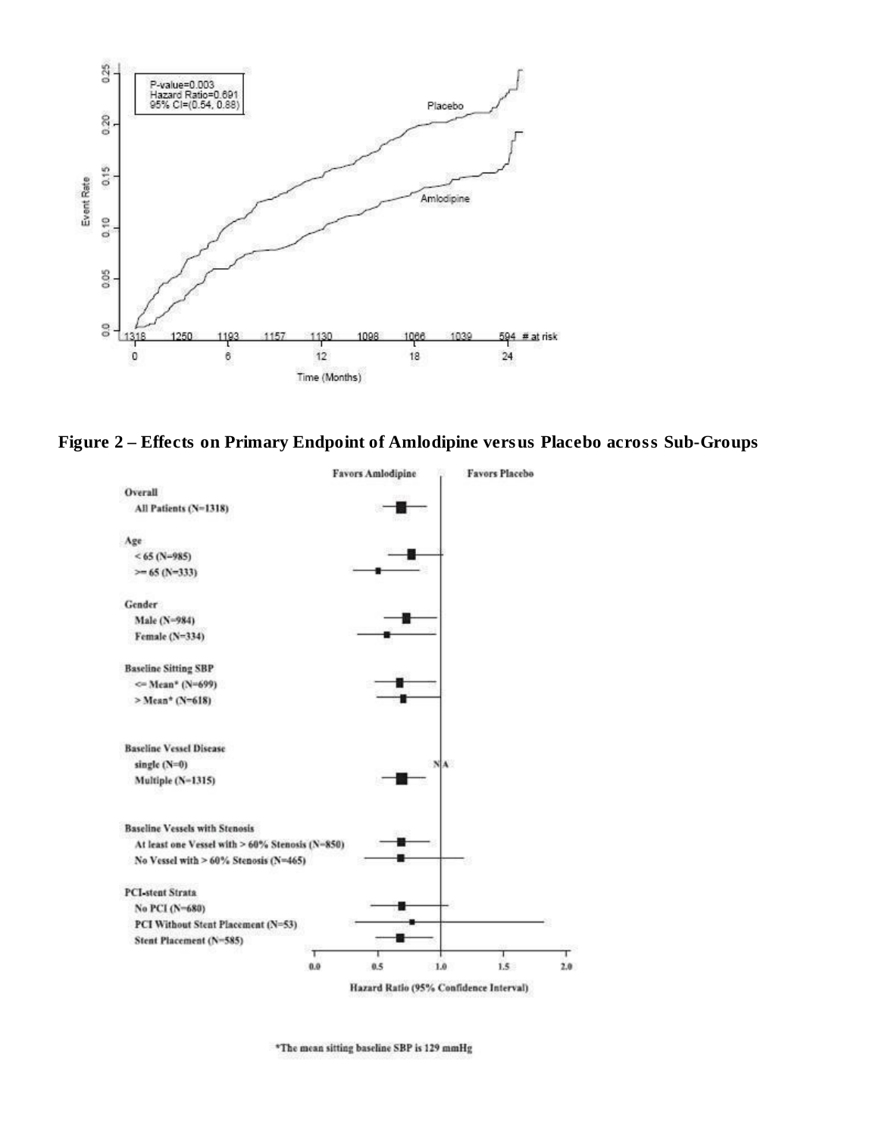

**Figure 2 – Effects on Primary Endpoint of Amlodipine versus Placebo across Sub-Groups**

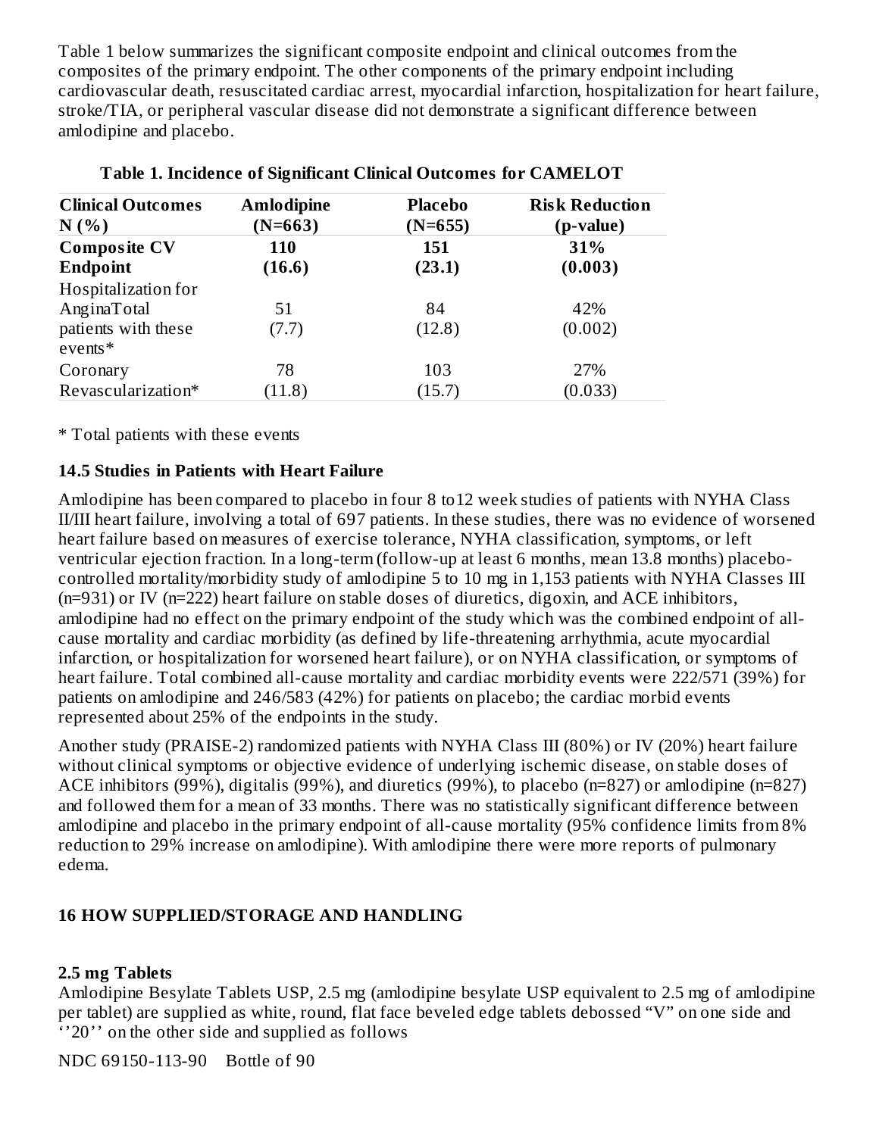Table 1 below summarizes the significant composite endpoint and clinical outcomes from the composites of the primary endpoint. The other components of the primary endpoint including cardiovascular death, resuscitated cardiac arrest, myocardial infarction, hospitalization for heart failure, stroke/TIA, or peripheral vascular disease did not demonstrate a significant difference between amlodipine and placebo.

| <b>Clinical Outcomes</b><br>N(%        | <b>Amlodipine</b><br>$(N=663)$ | <b>Placebo</b><br>$(N=655)$ | <b>Risk Reduction</b><br>(p-value) |
|----------------------------------------|--------------------------------|-----------------------------|------------------------------------|
| <b>Composite CV</b><br><b>Endpoint</b> | <b>110</b><br>(16.6)           | 151<br>(23.1)               | 31%<br>(0.003)                     |
| Hospitalization for                    |                                |                             |                                    |
| AnginaTotal                            | 51                             | 84                          | 42%                                |
| patients with these<br>events*         | (7.7)                          | (12.8)                      | (0.002)                            |
| Coronary                               | 78                             | 103                         | 27%                                |
| Revascularization*                     | (11.8)                         | (15.7)                      | (0.033)                            |

\* Total patients with these events

#### **14.5 Studies in Patients with Heart Failure**

Amlodipine has been compared to placebo in four 8 to12 week studies of patients with NYHA Class II/III heart failure, involving a total of 697 patients. In these studies, there was no evidence of worsened heart failure based on measures of exercise tolerance, NYHA classification, symptoms, or left ventricular ejection fraction. In a long-term (follow-up at least 6 months, mean 13.8 months) placebocontrolled mortality/morbidity study of amlodipine 5 to 10 mg in 1,153 patients with NYHA Classes III (n=931) or IV (n=222) heart failure on stable doses of diuretics, digoxin, and ACE inhibitors, amlodipine had no effect on the primary endpoint of the study which was the combined endpoint of allcause mortality and cardiac morbidity (as defined by life-threatening arrhythmia, acute myocardial infarction, or hospitalization for worsened heart failure), or on NYHA classification, or symptoms of heart failure. Total combined all-cause mortality and cardiac morbidity events were 222/571 (39%) for patients on amlodipine and 246/583 (42%) for patients on placebo; the cardiac morbid events represented about 25% of the endpoints in the study.

Another study (PRAISE-2) randomized patients with NYHA Class III (80%) or IV (20%) heart failure without clinical symptoms or objective evidence of underlying ischemic disease, on stable doses of ACE inhibitors (99%), digitalis (99%), and diuretics (99%), to placebo (n=827) or amlodipine (n=827) and followed them for a mean of 33 months. There was no statistically significant difference between amlodipine and placebo in the primary endpoint of all-cause mortality (95% confidence limits from 8% reduction to 29% increase on amlodipine). With amlodipine there were more reports of pulmonary edema.

### **16 HOW SUPPLIED/STORAGE AND HANDLING**

### **2.5 mg Tablets**

Amlodipine Besylate Tablets USP, 2.5 mg (amlodipine besylate USP equivalent to 2.5 mg of amlodipine per tablet) are supplied as white, round, flat face beveled edge tablets debossed "V" on one side and ''20'' on the other side and supplied as follows

NDC 69150-113-90 Bottle of 90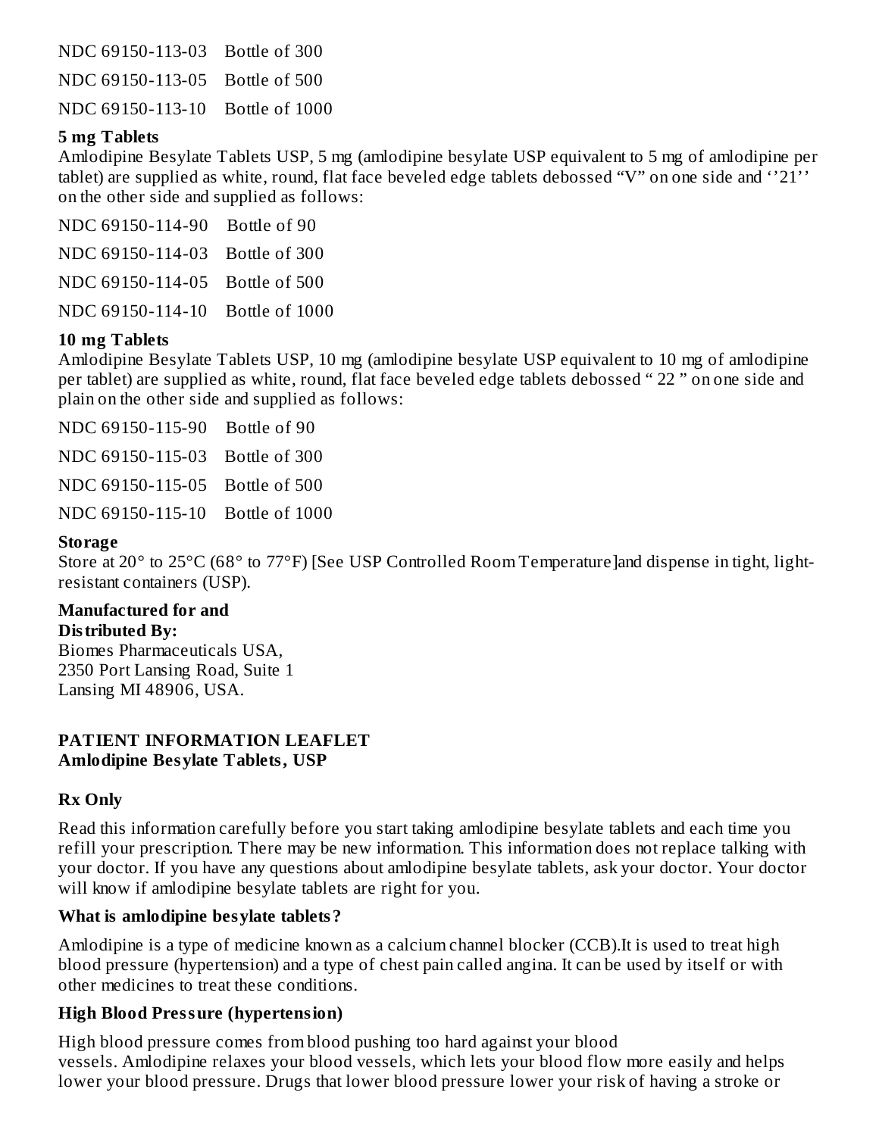NDC 69150-113-03 Bottle of 300 NDC 69150-113-05 Bottle of 500 NDC 69150-113-10 Bottle of 1000

#### **5 mg Tablets**

Amlodipine Besylate Tablets USP, 5 mg (amlodipine besylate USP equivalent to 5 mg of amlodipine per tablet) are supplied as white, round, flat face beveled edge tablets debossed "V" on one side and ''21'' on the other side and supplied as follows:

NDC 69150-114-90 Bottle of 90 NDC 69150-114-03 Bottle of 300 NDC 69150-114-05 Bottle of 500 NDC 69150-114-10 Bottle of 1000

#### **10 mg Tablets**

Amlodipine Besylate Tablets USP, 10 mg (amlodipine besylate USP equivalent to 10 mg of amlodipine per tablet) are supplied as white, round, flat face beveled edge tablets debossed " 22 " on one side and plain on the other side and supplied as follows:

NDC 69150-115-90 Bottle of 90 NDC 69150-115-03 Bottle of 300 NDC 69150-115-05 Bottle of 500 NDC 69150-115-10 Bottle of 1000

#### **Storage**

Store at 20° to 25°C (68° to 77°F) [See USP Controlled Room Temperature]and dispense in tight, lightresistant containers (USP).

#### **Manufactured for and Distributed By:**

Biomes Pharmaceuticals USA, 2350 Port Lansing Road, Suite 1 Lansing MI 48906, USA.

#### **PATIENT INFORMATION LEAFLET Amlodipine Besylate Tablets, USP**

#### **Rx Only**

Read this information carefully before you start taking amlodipine besylate tablets and each time you refill your prescription. There may be new information. This information does not replace talking with your doctor. If you have any questions about amlodipine besylate tablets, ask your doctor. Your doctor will know if amlodipine besylate tablets are right for you.

#### **What is amlodipine besylate tablets?**

Amlodipine is a type of medicine known as a calcium channel blocker (CCB).It is used to treat high blood pressure (hypertension) and a type of chest pain called angina. It can be used by itself or with other medicines to treat these conditions.

#### **High Blood Pressure (hypertension)**

High blood pressure comes from blood pushing too hard against your blood vessels. Amlodipine relaxes your blood vessels, which lets your blood flow more easily and helps lower your blood pressure. Drugs that lower blood pressure lower your risk of having a stroke or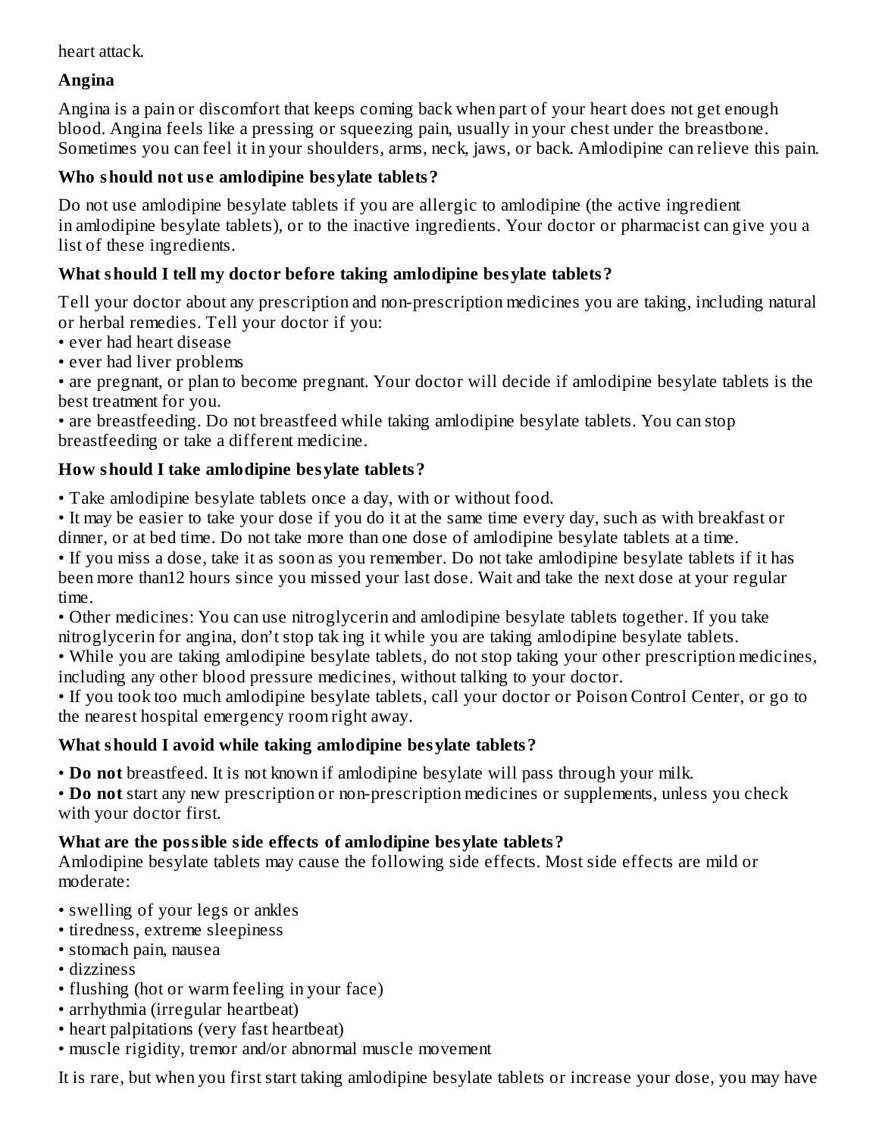### heart attack.

### **Angina**

Angina is a pain or discomfort that keeps coming back when part of your heart does not get enough blood. Angina feels like a pressing or squeezing pain, usually in your chest under the breastbone. Sometimes you can feel it in your shoulders, arms, neck, jaws, or back. Amlodipine can relieve this pain.

### **Who should not us e amlodipine besylate tablets?**

Do not use amlodipine besylate tablets if you are allergic to amlodipine (the active ingredient in amlodipine besylate tablets), or to the inactive ingredients. Your doctor or pharmacist can give you a list of these ingredients.

# **What should I tell my doctor before taking amlodipine besylate tablets?**

Tell your doctor about any prescription and non-prescription medicines you are taking, including natural or herbal remedies. Tell your doctor if you:

- ever had heart disease
- ever had liver problems

• are pregnant, or plan to become pregnant. Your doctor will decide if amlodipine besylate tablets is the best treatment for you.

• are breastfeeding. Do not breastfeed while taking amlodipine besylate tablets. You can stop breastfeeding or take a different medicine.

# **How should I take amlodipine besylate tablets?**

• Take amlodipine besylate tablets once a day, with or without food.

• It may be easier to take your dose if you do it at the same time every day, such as with breakfast or dinner, or at bed time. Do not take more than one dose of amlodipine besylate tablets at a time.

• If you miss a dose, take it as soon as you remember. Do not take amlodipine besylate tablets if it has been more than12 hours since you missed your last dose. Wait and take the next dose at your regular time.

• Other medicines: You can use nitroglycerin and amlodipine besylate tablets together. If you take nitroglycerin for angina, don't stop tak ing it while you are taking amlodipine besylate tablets.

• While you are taking amlodipine besylate tablets, do not stop taking your other prescription medicines, including any other blood pressure medicines, without talking to your doctor.

• If you took too much amlodipine besylate tablets, call your doctor or Poison Control Center, or go to the nearest hospital emergency room right away.

# **What should I avoid while taking amlodipine besylate tablets?**

• **Do not** breastfeed. It is not known if amlodipine besylate will pass through your milk.

• **Do not** start any new prescription or non-prescription medicines or supplements, unless you check with your doctor first.

### **What are the possible side effects of amlodipine besylate tablets?**

Amlodipine besylate tablets may cause the following side effects. Most side effects are mild or moderate:

- swelling of your legs or ankles
- tiredness, extreme sleepiness
- stomach pain, nausea
- dizziness
- flushing (hot or warm feeling in your face)
- arrhythmia (irregular heartbeat)
- heart palpitations (very fast heartbeat)
- muscle rigidity, tremor and/or abnormal muscle movement

It is rare, but when you first start taking amlodipine besylate tablets or increase your dose, you may have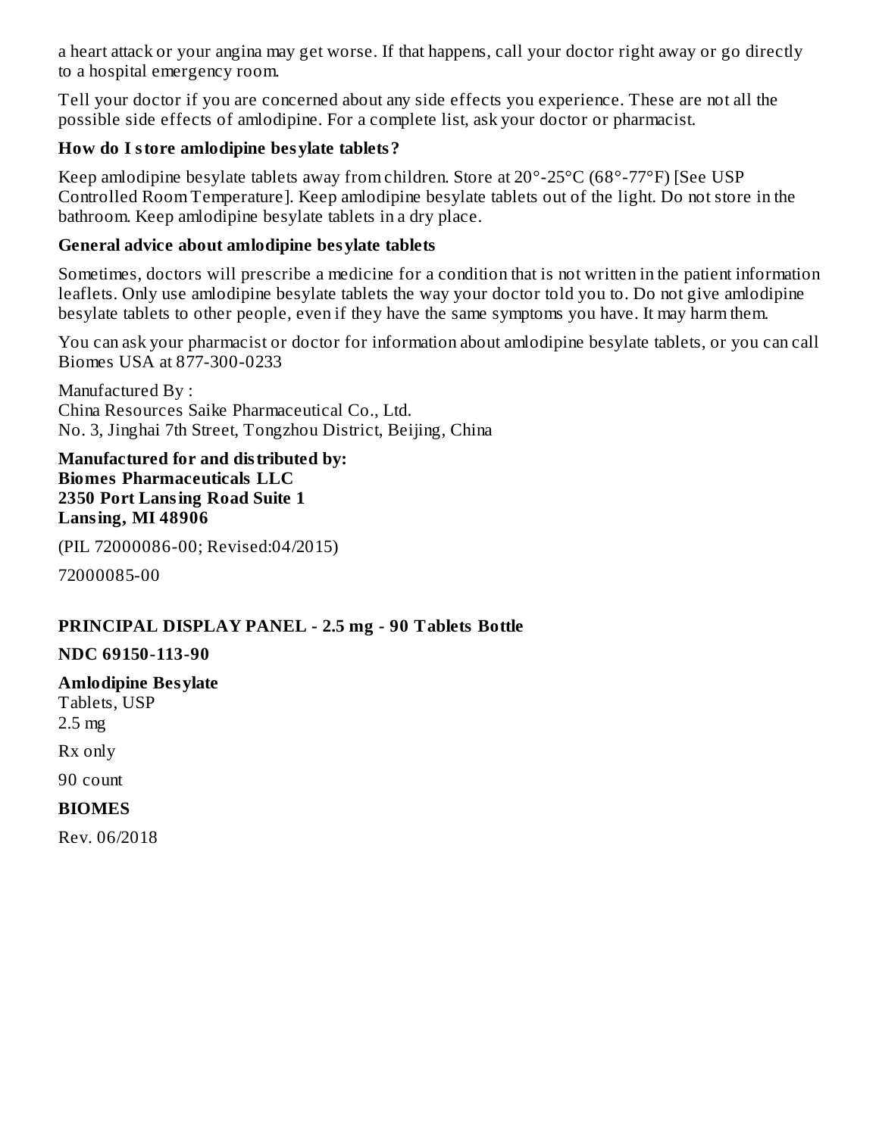a heart attack or your angina may get worse. If that happens, call your doctor right away or go directly to a hospital emergency room.

Tell your doctor if you are concerned about any side effects you experience. These are not all the possible side effects of amlodipine. For a complete list, ask your doctor or pharmacist.

### **How do I store amlodipine besylate tablets?**

Keep amlodipine besylate tablets away from children. Store at 20°-25°C (68°-77°F) [See USP Controlled Room Temperature]. Keep amlodipine besylate tablets out of the light. Do not store in the bathroom. Keep amlodipine besylate tablets in a dry place.

### **General advice about amlodipine besylate tablets**

Sometimes, doctors will prescribe a medicine for a condition that is not written in the patient information leaflets. Only use amlodipine besylate tablets the way your doctor told you to. Do not give amlodipine besylate tablets to other people, even if they have the same symptoms you have. It may harm them.

You can ask your pharmacist or doctor for information about amlodipine besylate tablets, or you can call Biomes USA at 877-300-0233

Manufactured By : China Resources Saike Pharmaceutical Co., Ltd. No. 3, Jinghai 7th Street, Tongzhou District, Beijing, China

#### **Manufactured for and distributed by: Biomes Pharmaceuticals LLC 2350 Port Lansing Road Suite 1 Lansing, MI 48906**

(PIL 72000086-00; Revised:04/2015)

72000085-00

# **PRINCIPAL DISPLAY PANEL - 2.5 mg - 90 Tablets Bottle**

#### **NDC 69150-113-90**

**Amlodipine Besylate** Tablets, USP 2.5 mg

Rx only

90 count

### **BIOMES**

Rev. 06/2018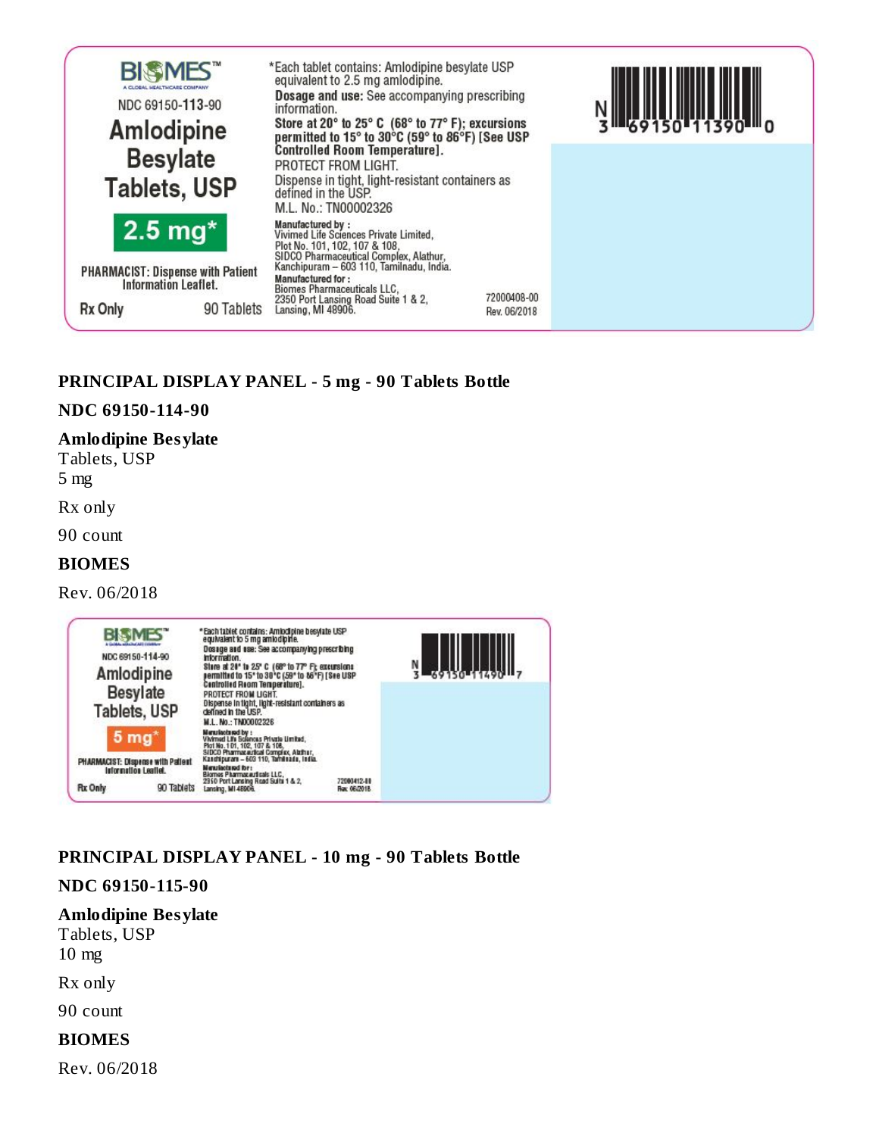

#### **PRINCIPAL DISPLAY PANEL - 5 mg - 90 Tablets Bottle**

#### **NDC 69150-114-90**

#### **Amlodipine Besylate**

Tablets, USP 5 mg

Rx only

90 count

#### **BIOMES**

Rev. 06/2018



#### **PRINCIPAL DISPLAY PANEL - 10 mg - 90 Tablets Bottle**

#### **NDC 69150-115-90**

**Amlodipine Besylate**

Tablets, USP 10 mg

Rx only

90 count

#### **BIOMES**

Rev. 06/2018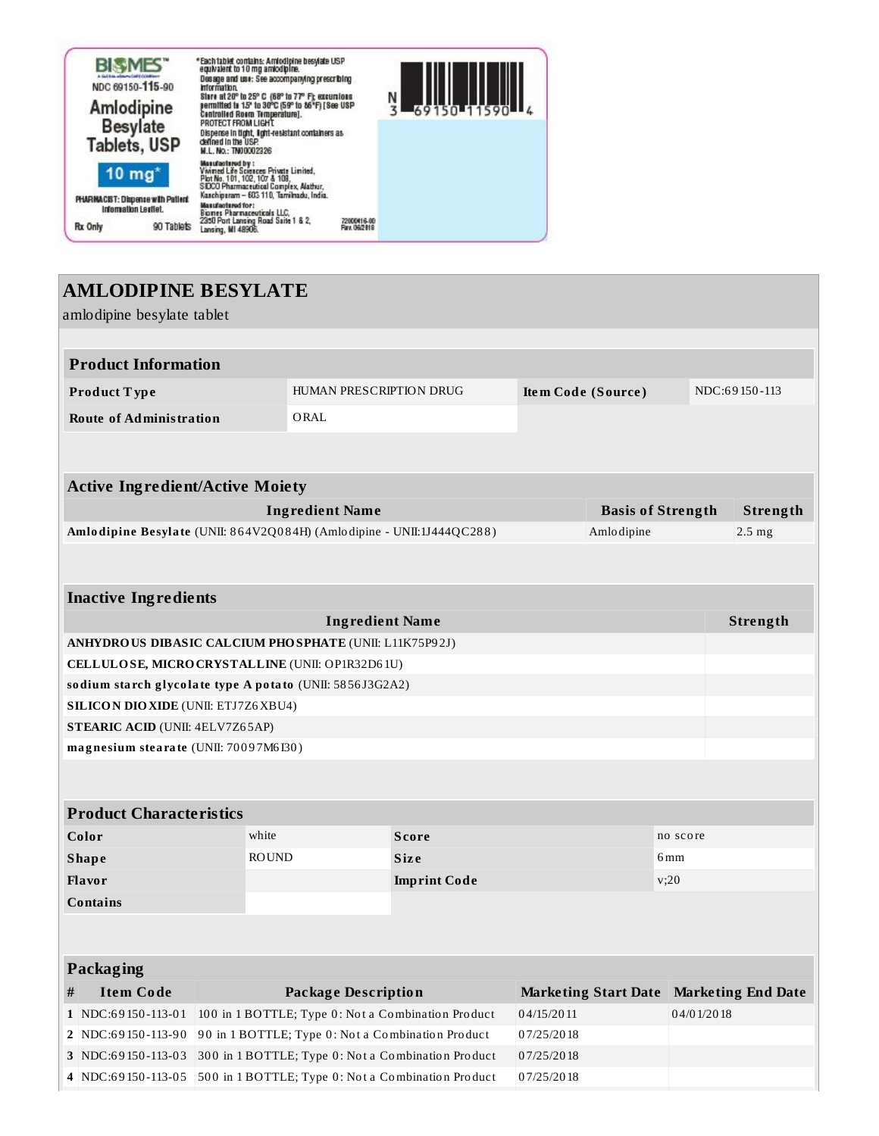

**4** NDC:69150-113-05 500 in 1 BOTTLE; Type 0: Not a Combination Product 07/25/2018

| <b>AMLODIPINE BESYLATE</b><br>amlodipine besylate tablet |                                                               |                                                                  |                            |                                                                       |            |                             |               |                           |
|----------------------------------------------------------|---------------------------------------------------------------|------------------------------------------------------------------|----------------------------|-----------------------------------------------------------------------|------------|-----------------------------|---------------|---------------------------|
|                                                          |                                                               |                                                                  |                            |                                                                       |            |                             |               |                           |
|                                                          | <b>Product Information</b>                                    |                                                                  |                            |                                                                       |            |                             |               |                           |
|                                                          | Product Type<br>HUMAN PRESCRIPTION DRUG<br>Item Code (Source) |                                                                  |                            |                                                                       |            |                             | NDC:69150-113 |                           |
|                                                          | <b>Route of Administration</b>                                |                                                                  | ORAL                       |                                                                       |            |                             |               |                           |
|                                                          |                                                               |                                                                  |                            |                                                                       |            |                             |               |                           |
|                                                          | <b>Active Ingredient/Active Moiety</b>                        |                                                                  |                            |                                                                       |            |                             |               |                           |
|                                                          |                                                               |                                                                  | <b>Ingredient Name</b>     |                                                                       |            | <b>Basis of Strength</b>    |               | Strength                  |
|                                                          |                                                               |                                                                  |                            | Amlodipine Besylate (UNII: 864V2Q084H) (Amlodipine - UNII:1J444QC288) |            | Amlo dipine                 |               | 2.5 <sub>mg</sub>         |
|                                                          |                                                               |                                                                  |                            |                                                                       |            |                             |               |                           |
|                                                          | <b>Inactive Ingredients</b>                                   |                                                                  |                            |                                                                       |            |                             |               |                           |
|                                                          |                                                               |                                                                  |                            | <b>Ingredient Name</b>                                                |            |                             |               | Strength                  |
|                                                          | ANHYDROUS DIBASIC CALCIUM PHOSPHATE (UNII: L11K75P92J)        |                                                                  |                            |                                                                       |            |                             |               |                           |
|                                                          | CELLULOSE, MICRO CRYSTALLINE (UNII: OP1R32D61U)               |                                                                  |                            |                                                                       |            |                             |               |                           |
|                                                          | sodium starch glycolate type A potato (UNII: 5856J3G2A2)      |                                                                  |                            |                                                                       |            |                             |               |                           |
|                                                          | <b>SILICON DIO XIDE (UNII: ETJ7Z6 XBU4)</b>                   |                                                                  |                            |                                                                       |            |                             |               |                           |
|                                                          | <b>STEARIC ACID (UNII: 4ELV7Z65AP)</b>                        |                                                                  |                            |                                                                       |            |                             |               |                           |
|                                                          | magnesium stearate (UNII: 70097M6I30)                         |                                                                  |                            |                                                                       |            |                             |               |                           |
|                                                          |                                                               |                                                                  |                            |                                                                       |            |                             |               |                           |
|                                                          |                                                               |                                                                  |                            |                                                                       |            |                             |               |                           |
|                                                          | <b>Product Characteristics</b>                                |                                                                  |                            |                                                                       |            |                             |               |                           |
|                                                          | Color                                                         |                                                                  | white                      | <b>Score</b>                                                          |            |                             | no score      |                           |
| <b>ROUND</b><br><b>Shape</b>                             |                                                               |                                                                  | <b>Size</b>                |                                                                       |            | 6mm                         |               |                           |
| <b>Flavor</b><br><b>Imprint Code</b><br>v;20             |                                                               |                                                                  |                            |                                                                       |            |                             |               |                           |
|                                                          | <b>Contains</b>                                               |                                                                  |                            |                                                                       |            |                             |               |                           |
|                                                          |                                                               |                                                                  |                            |                                                                       |            |                             |               |                           |
|                                                          | Packaging                                                     |                                                                  |                            |                                                                       |            |                             |               |                           |
| #                                                        | <b>Item Code</b>                                              |                                                                  | <b>Package Description</b> |                                                                       |            | <b>Marketing Start Date</b> |               | <b>Marketing End Date</b> |
|                                                          | 1 NDC:69150-113-01                                            |                                                                  |                            | 100 in 1 BOTTLE; Type 0: Not a Combination Product                    | 04/15/2011 |                             | 04/01/2018    |                           |
|                                                          | 2 NDC:69150-113-90                                            |                                                                  |                            | 90 in 1 BOTTLE; Type 0: Not a Combination Product                     | 07/25/2018 |                             |               |                           |
|                                                          | 3 NDC:69150-113-03                                            | 300 in 1 BOTTLE; Type 0: Not a Combination Product<br>07/25/2018 |                            |                                                                       |            |                             |               |                           |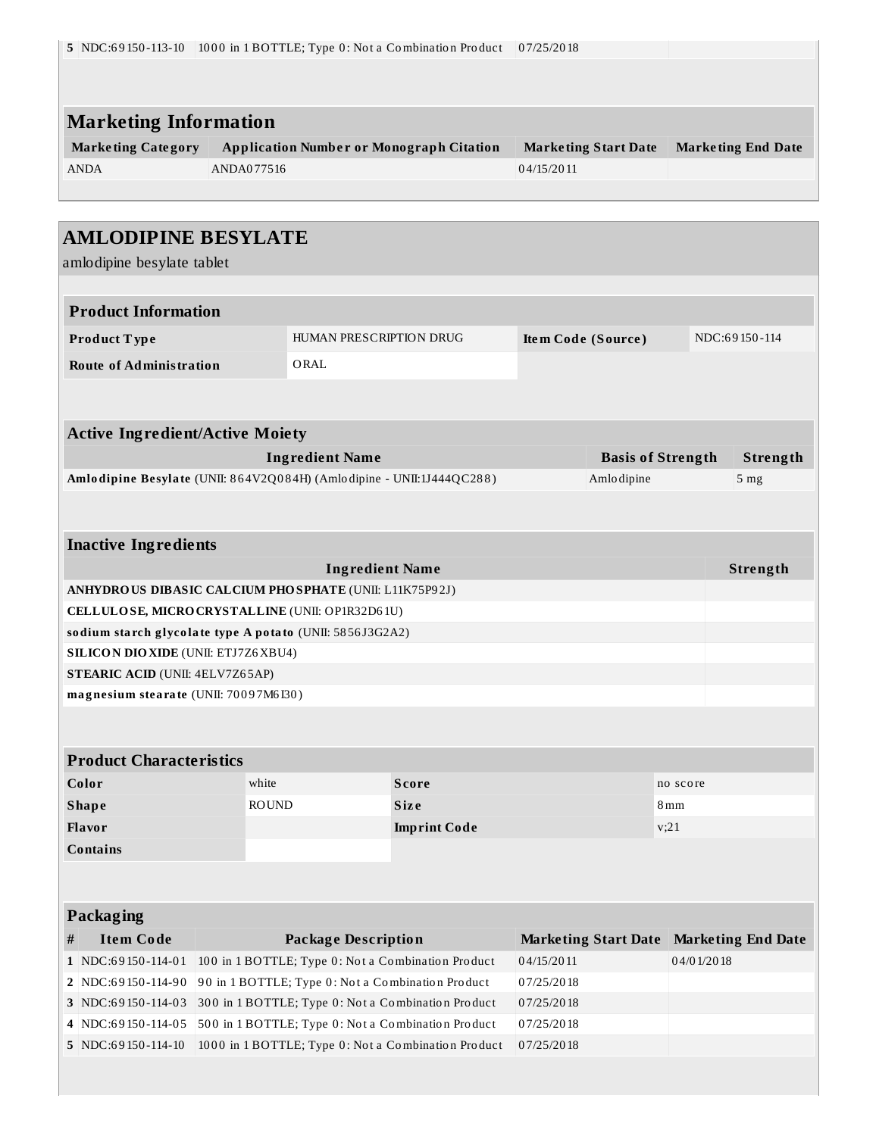| <b>Marketing Information</b>                                                                                                                |              |                            |                                                    |                    |                             |            |                                           |
|---------------------------------------------------------------------------------------------------------------------------------------------|--------------|----------------------------|----------------------------------------------------|--------------------|-----------------------------|------------|-------------------------------------------|
| <b>Marketing Category</b>                                                                                                                   |              |                            | <b>Application Number or Monograph Citation</b>    |                    | <b>Marketing Start Date</b> |            | <b>Marketing End Date</b>                 |
| <b>ANDA</b>                                                                                                                                 | ANDA077516   |                            |                                                    | 04/15/2011         |                             |            |                                           |
|                                                                                                                                             |              |                            |                                                    |                    |                             |            |                                           |
|                                                                                                                                             |              |                            |                                                    |                    |                             |            |                                           |
| <b>AMLODIPINE BESYLATE</b>                                                                                                                  |              |                            |                                                    |                    |                             |            |                                           |
| amlodipine besylate tablet                                                                                                                  |              |                            |                                                    |                    |                             |            |                                           |
| <b>Product Information</b>                                                                                                                  |              |                            |                                                    |                    |                             |            |                                           |
| Product Type                                                                                                                                |              | HUMAN PRESCRIPTION DRUG    |                                                    | Item Code (Source) |                             |            | NDC:69150-114                             |
| <b>Route of Administration</b>                                                                                                              |              | ORAL                       |                                                    |                    |                             |            |                                           |
|                                                                                                                                             |              |                            |                                                    |                    |                             |            |                                           |
|                                                                                                                                             |              |                            |                                                    |                    |                             |            |                                           |
| <b>Active Ingredient/Active Moiety</b>                                                                                                      |              |                            |                                                    |                    |                             |            |                                           |
|                                                                                                                                             |              | <b>Ingredient Name</b>     |                                                    |                    | <b>Basis of Strength</b>    |            | Strength                                  |
| Amlodipine Besylate (UNII: 864V2Q084H) (Amlodipine - UNII:1J444QC288)                                                                       |              |                            |                                                    |                    | Amlo dipine                 |            | 5 <sub>mg</sub>                           |
|                                                                                                                                             |              |                            |                                                    |                    |                             |            |                                           |
|                                                                                                                                             |              |                            |                                                    |                    |                             |            |                                           |
| <b>Inactive Ingredients</b>                                                                                                                 |              |                            |                                                    |                    |                             |            |                                           |
|                                                                                                                                             |              | <b>Ingredient Name</b>     |                                                    |                    |                             |            | Strength                                  |
| ANHYDROUS DIBASIC CALCIUM PHOSPHATE (UNII: L11K75P92J)                                                                                      |              |                            |                                                    |                    |                             |            |                                           |
| CELLULOSE, MICRO CRYSTALLINE (UNII: OP1R32D61U)                                                                                             |              |                            |                                                    |                    |                             |            |                                           |
| sodium starch glycolate type A potato (UNII: 5856J3G2A2)                                                                                    |              |                            |                                                    |                    |                             |            |                                           |
| <b>SILICON DIO XIDE (UNII: ETJ7Z6 XBU4)</b>                                                                                                 |              |                            |                                                    |                    |                             |            |                                           |
| <b>STEARIC ACID (UNII: 4ELV7Z65AP)</b>                                                                                                      |              |                            |                                                    |                    |                             |            |                                           |
| magnesium stearate (UNII: 70097M6I30)                                                                                                       |              |                            |                                                    |                    |                             |            |                                           |
|                                                                                                                                             |              |                            |                                                    |                    |                             |            |                                           |
|                                                                                                                                             |              |                            |                                                    |                    |                             |            |                                           |
| <b>Product Characteristics</b>                                                                                                              |              |                            |                                                    |                    |                             |            |                                           |
| Color                                                                                                                                       | white        |                            | <b>Score</b>                                       |                    |                             | no score   |                                           |
| <b>Shape</b>                                                                                                                                | <b>ROUND</b> |                            | <b>Size</b>                                        |                    |                             | 8mm        |                                           |
| Flavor                                                                                                                                      |              |                            | <b>Imprint Code</b>                                |                    |                             | v;21       |                                           |
| <b>Contains</b>                                                                                                                             |              |                            |                                                    |                    |                             |            |                                           |
|                                                                                                                                             |              |                            |                                                    |                    |                             |            |                                           |
|                                                                                                                                             |              |                            |                                                    |                    |                             |            |                                           |
| <b>Packaging</b>                                                                                                                            |              |                            |                                                    |                    |                             |            |                                           |
| <b>Item Code</b><br>#                                                                                                                       |              | <b>Package Description</b> |                                                    |                    |                             |            | Marketing Start Date   Marketing End Date |
| 1   NDC:69150-114-01                                                                                                                        |              |                            | 100 in 1 BOTTLE; Type 0: Not a Combination Product | 04/15/2011         |                             | 04/01/2018 |                                           |
| 2 NDC:69150-114-90                                                                                                                          |              |                            |                                                    | 07/25/2018         |                             |            |                                           |
| 90 in 1 BOTTLE; Type 0: Not a Combination Product<br>3 NDC:69150-114-03<br>300 in 1 BOTTLE; Type 0: Not a Combination Product<br>07/25/2018 |              |                            |                                                    |                    |                             |            |                                           |
| 4 NDC:69150-114-05<br>500 in 1 BOTTLE; Type 0: Not a Combination Product<br>07/25/2018                                                      |              |                            |                                                    |                    |                             |            |                                           |
| 5 NDC:69150-114-10<br>1000 in 1 BOTTLE; Type 0: Not a Combination Product<br>07/25/2018                                                     |              |                            |                                                    |                    |                             |            |                                           |
|                                                                                                                                             |              |                            |                                                    |                    |                             |            |                                           |
|                                                                                                                                             |              |                            |                                                    |                    |                             |            |                                           |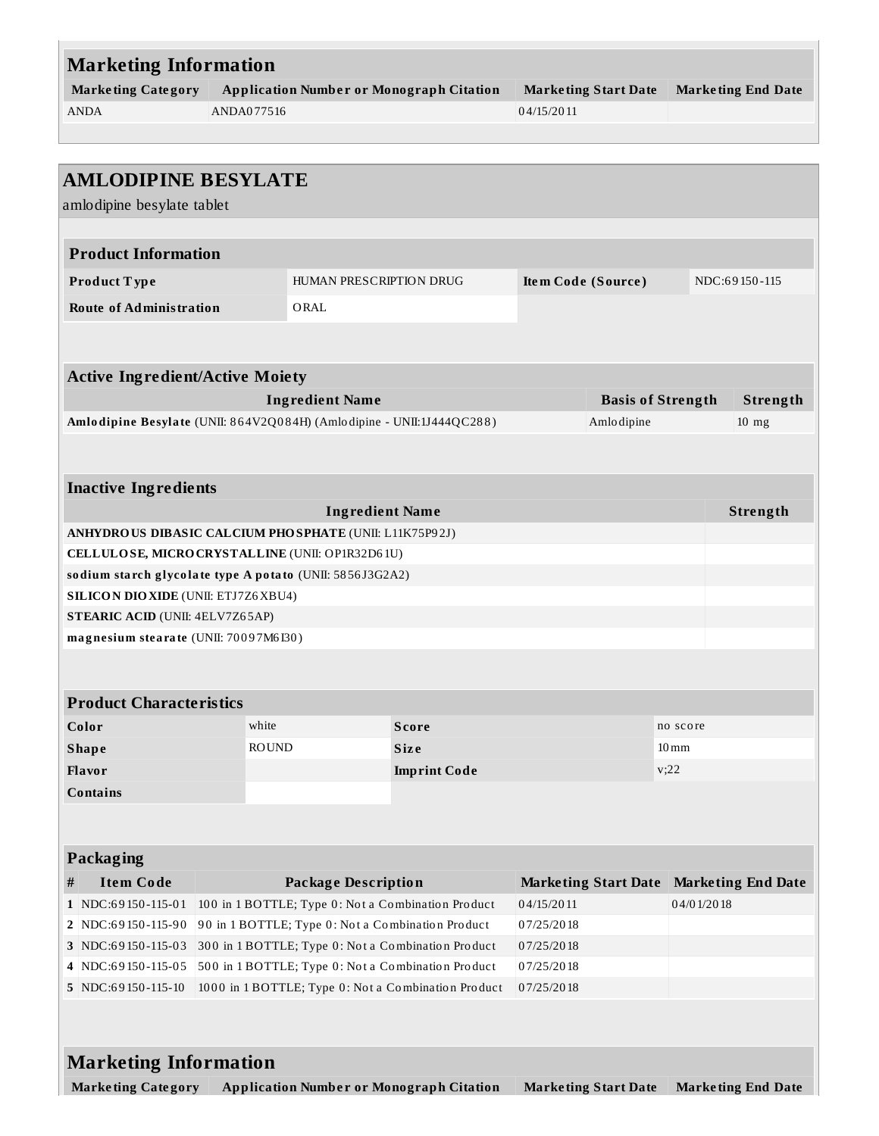| <b>Marketing Information</b>                                                                                                             |            |            |  |  |  |  |  |  |
|------------------------------------------------------------------------------------------------------------------------------------------|------------|------------|--|--|--|--|--|--|
| <b>Marketing End Date</b><br><b>Marketing Category</b><br><b>Application Number or Monograph Citation</b><br><b>Marketing Start Date</b> |            |            |  |  |  |  |  |  |
| <b>ANDA</b>                                                                                                                              | ANDA077516 | 04/15/2011 |  |  |  |  |  |  |
|                                                                                                                                          |            |            |  |  |  |  |  |  |
|                                                                                                                                          |            |            |  |  |  |  |  |  |
| <b>AMLODIPINE BESYLATE</b>                                                                                                               |            |            |  |  |  |  |  |  |
| amlodipine besylate tablet                                                                                                               |            |            |  |  |  |  |  |  |

| <b>Product Information</b>     |                                               |  |               |  |  |  |
|--------------------------------|-----------------------------------------------|--|---------------|--|--|--|
| Product Type                   | HUMAN PRESCRIPTION DRUG<br>Item Code (Source) |  | NDC:69150-115 |  |  |  |
| <b>Route of Administration</b> | ORAL                                          |  |               |  |  |  |

| Active Ingredient/Active Moiety                                         |                          |                 |  |  |
|-------------------------------------------------------------------------|--------------------------|-----------------|--|--|
| Ingredient Name                                                         | <b>Basis of Strength</b> | Strength        |  |  |
| Amlo dipine Besylate (UNII: 864V2Q084H) (Amlo dipine - UNII:1J444QC288) | Amlo dipine              | $10 \text{ mg}$ |  |  |

### **Inactive Ingredients Ingredient Name Strength ANHYDROUS DIBASIC CALCIUM PHOSPHATE** (UNII: L11K75P9 2J) **CELLULOSE, MICROCRYSTALLINE** (UNII: OP1R32D6 1U) **so dium sta rch g lyco la te type A po ta to** (UNII: 58 56 J3G2A2) **SILICON DIOXIDE** (UNII: ETJ7Z6XBU4)

**STEARIC ACID** (UNII: 4ELV7Z6 5AP)

**ma g nesium stea ra te** (UNII: 70 0 9 7M6 I30 )

| <b>Product Characteristics</b> |       |                     |                    |  |  |
|--------------------------------|-------|---------------------|--------------------|--|--|
| Color                          | white | Score               | no score           |  |  |
| <b>Shape</b>                   | ROUND | <b>Size</b>         | $10 \,\mathrm{mm}$ |  |  |
| Flavor                         |       | <b>Imprint Code</b> | v;22               |  |  |
| <b>Contains</b>                |       |                     |                    |  |  |

| <b>Packaging</b> |  |
|------------------|--|

| # | <b>Item Code</b> | <b>Package Description</b>                                             | Marketing Start Date Marketing End Date |            |
|---|------------------|------------------------------------------------------------------------|-----------------------------------------|------------|
|   |                  | 1 NDC:69150-115-01 100 in 1 BOTTLE; Type 0: Not a Combination Product  | 04/15/2011                              | 04/01/2018 |
|   |                  | 2 NDC:69150-115-90 90 in 1 BOTTLE; Type 0: Not a Combination Product   | 07/25/2018                              |            |
|   |                  | 3 NDC:69150-115-03 300 in 1 BOTTLE; Type 0: Not a Combination Product  | 07/25/2018                              |            |
|   |                  | 4 NDC:69150-115-05 500 in 1 BOTTLE; Type 0: Not a Combination Product  | 07/25/2018                              |            |
|   |                  | 5 NDC:69150-115-10 1000 in 1 BOTTLE; Type 0: Not a Combination Product | 07/25/2018                              |            |

# **Marketing Information**